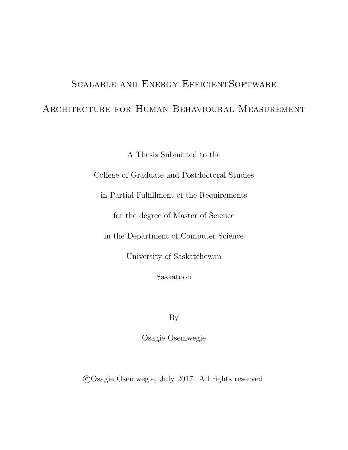# <span id="page-0-0"></span>Scalable and Energy EfficientSoftware ARCHITECTURE FOR HUMAN BEHAVIOURAL MEASUREMENT

A Thesis Submitted to the

College of Graduate and Postdoctoral Studies

in Partial Fulfillment of the Requirements

for the degree of Master of Science

in the Department of Computer Science

University of Saskatchewan

Saskatoon

By

Osagie Osemwegie

c Osagie Osemwegie, July 2017. All rights reserved.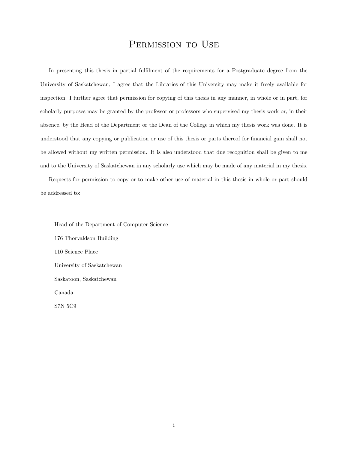# PERMISSION TO USE

<span id="page-1-0"></span>In presenting this thesis in partial fulfilment of the requirements for a Postgraduate degree from the University of Saskatchewan, I agree that the Libraries of this University may make it freely available for inspection. I further agree that permission for copying of this thesis in any manner, in whole or in part, for scholarly purposes may be granted by the professor or professors who supervised my thesis work or, in their absence, by the Head of the Department or the Dean of the College in which my thesis work was done. It is understood that any copying or publication or use of this thesis or parts thereof for financial gain shall not be allowed without my written permission. It is also understood that due recognition shall be given to me and to the University of Saskatchewan in any scholarly use which may be made of any material in my thesis.

Requests for permission to copy or to make other use of material in this thesis in whole or part should be addressed to:

Head of the Department of Computer Science 176 Thorvaldson Building 110 Science Place University of Saskatchewan Saskatoon, Saskatchewan Canada S7N 5C9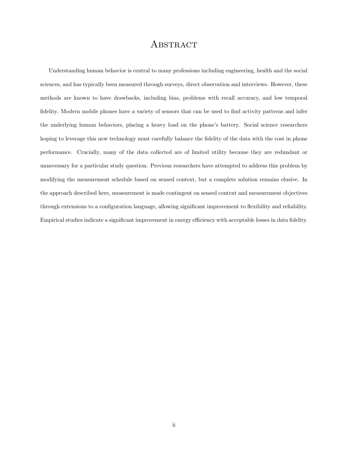# **ABSTRACT**

<span id="page-2-0"></span>Understanding human behavior is central to many professions including engineering, health and the social sciences, and has typically been measured through surveys, direct observation and interviews. However, these methods are known to have drawbacks, including bias, problems with recall accuracy, and low temporal fidelity. Modern mobile phones have a variety of sensors that can be used to find activity patterns and infer the underlying human behaviors, placing a heavy load on the phone's battery. Social science researchers hoping to leverage this new technology must carefully balance the fidelity of the data with the cost in phone performance. Crucially, many of the data collected are of limited utility because they are redundant or unnecessary for a particular study question. Previous researchers have attempted to address this problem by modifying the measurement schedule based on sensed context, but a complete solution remains elusive. In the approach described here, measurement is made contingent on sensed context and measurement objectives through extensions to a configuration language, allowing significant improvement to flexibility and reliability. Empirical studies indicate a significant improvement in energy efficiency with acceptable losses in data fidelity.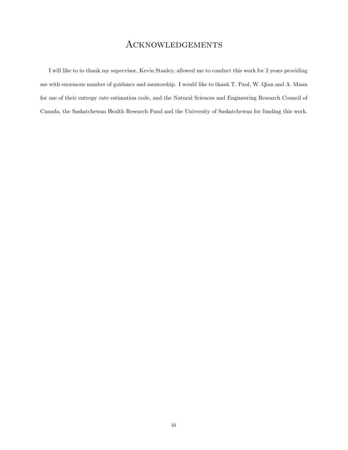# **ACKNOWLEDGEMENTS**

<span id="page-3-0"></span>I will like to to thank my supervisor, Kevin Stanley, allowed me to conduct this work for 2 years providing me with enormous number of guidance and mentorship. I would like to thank T. Paul, W. Qian and A. Mann for use of their entropy rate estimation code, and the Natural Sciences and Engineering Research Council of Canada, the Saskatchewan Health Research Fund and the University of Saskatchewan for funding this work.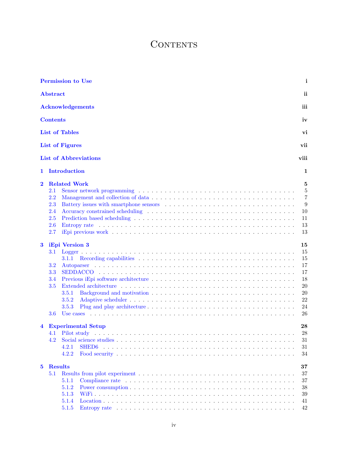# **CONTENTS**

|                                                                                                         | <b>Permission to Use</b>                                                                                                                                                                             | i                                                                                                                                       |
|---------------------------------------------------------------------------------------------------------|------------------------------------------------------------------------------------------------------------------------------------------------------------------------------------------------------|-----------------------------------------------------------------------------------------------------------------------------------------|
| <b>Abstract</b>                                                                                         |                                                                                                                                                                                                      | ii                                                                                                                                      |
|                                                                                                         | <b>Acknowledgements</b>                                                                                                                                                                              | iii                                                                                                                                     |
| <b>Contents</b>                                                                                         |                                                                                                                                                                                                      | iv                                                                                                                                      |
|                                                                                                         | <b>List of Tables</b>                                                                                                                                                                                | vi                                                                                                                                      |
|                                                                                                         | <b>List of Figures</b>                                                                                                                                                                               | vii                                                                                                                                     |
|                                                                                                         | <b>List of Abbreviations</b>                                                                                                                                                                         | viii                                                                                                                                    |
| 1                                                                                                       | Introduction                                                                                                                                                                                         | 1                                                                                                                                       |
| $\bf{2}$                                                                                                | <b>Related Work</b>                                                                                                                                                                                  | $\overline{5}$                                                                                                                          |
| 2.1<br>2.2<br>2.3<br>2.4<br>2.5<br>2.6<br>2.7<br>$\bf{3}$<br>3.1<br>3.2<br>3.3<br>3.4<br>3.5<br>$3.6\,$ | Battery issues with smartphone sensors (a) $\ldots$ and $\ldots$ and $\ldots$ and $\ldots$ and $\ldots$ and $\ldots$ and $\ldots$<br>iEpi Version 3<br>3.1.1<br>3.5.1<br>3.5.2<br>3.5.3<br>Use cases | $\overline{5}$<br>$\overline{7}$<br>9<br>10<br>11<br>13<br>13<br>15<br>15<br>15<br>17<br>17<br>18<br>$20\,$<br>$20\,$<br>22<br>24<br>26 |
| $\overline{\mathbf{4}}$<br>4.1<br>4.2                                                                   | <b>Experimental Setup</b><br>Pilot study<br>4.2.1<br>4.2.2                                                                                                                                           | 28<br>28<br>31<br>31<br>34                                                                                                              |
| $5^{\circ}$<br>$5.1\,$                                                                                  | <b>Results</b><br>Compliance rate $\dots \dots \dots \dots \dots \dots \dots \dots \dots \dots \dots \dots \dots \dots \dots \dots \dots$<br>5.1.1<br>5.1.2<br>5.1.3<br>5.1.4<br>5.1.5               | 37<br>37<br>37<br>38<br>39<br>41<br>42                                                                                                  |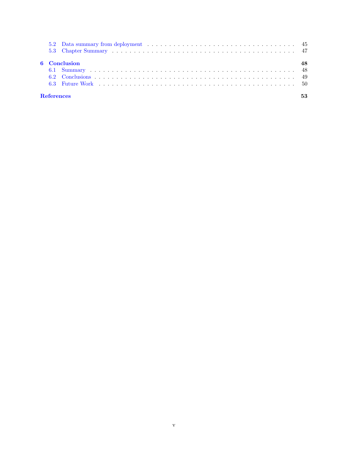|  | <b>6</b> Conclusion |    |
|--|---------------------|----|
|  |                     |    |
|  |                     |    |
|  |                     |    |
|  | <b>References</b>   | 53 |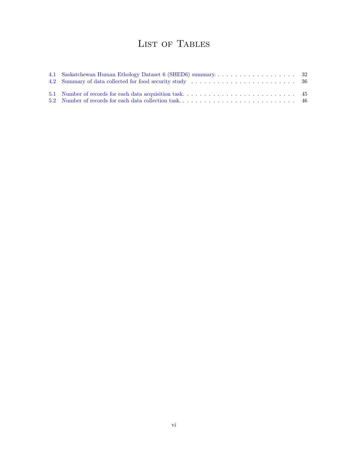# LIST OF TABLES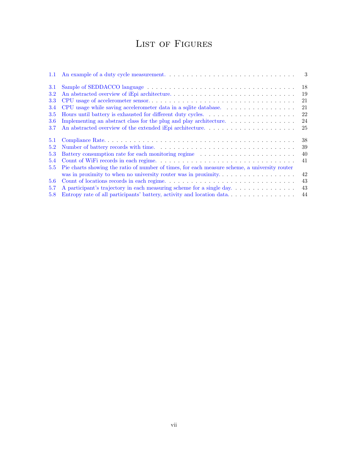# LIST OF FIGURES

| 1.1           |                                                                                                             | -3 |
|---------------|-------------------------------------------------------------------------------------------------------------|----|
| 3.1           |                                                                                                             | 18 |
| <b>3.2</b>    |                                                                                                             | 19 |
| 3.3           |                                                                                                             | 21 |
| 3.4           | CPU usage while saving accelerometer data in a sqlite database.                                             | 21 |
| 3.5           |                                                                                                             | 22 |
| 3.6           | Implementing an abstract class for the plug and play architecture. $\dots \dots \dots \dots \dots$          | 24 |
| 3.7           | An abstracted overview of the extended iEpi architecture. $\dots \dots \dots \dots \dots \dots \dots \dots$ | 25 |
| 5.1           |                                                                                                             | 38 |
| 5.2           |                                                                                                             | 39 |
| 5.3           | Battery consumption rate for each monitoring regime                                                         | 40 |
| 5.4           |                                                                                                             | 41 |
| $5.5^{\circ}$ | Pie charts showing the ratio of number of times, for each measure scheme, a university router               |    |
|               | was in proximity to when no university router was in proximity                                              | 42 |
| 5.6           |                                                                                                             | 43 |
| 5.7           | A participant's trajectory in each measuring scheme for a single day                                        | 43 |
| 5.8           | Entropy rate of all participants' battery, activity and location data                                       | 44 |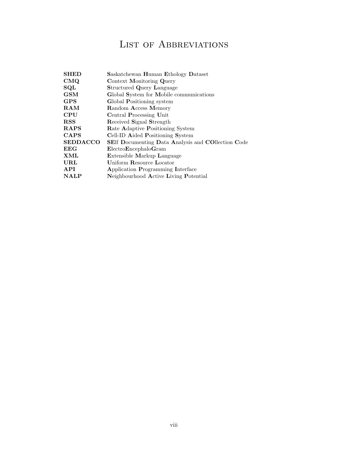# LIST OF ABBREVIATIONS

| <b>SHED</b>     | Saskatchewan Human Ethology Dataset                       |
|-----------------|-----------------------------------------------------------|
| CMQ             | Context Monitoring Query                                  |
| SQL             | <b>Structured Query Language</b>                          |
| <b>GSM</b>      | Global System for Mobile communications                   |
| <b>GPS</b>      | Global Positioning system                                 |
| RAM             | Random Access Memory                                      |
| CPU             | Central Processing Unit                                   |
| <b>RSS</b>      | Received Signal Strength                                  |
| <b>RAPS</b>     | <b>Rate Adaptive Positioning System</b>                   |
| <b>CAPS</b>     | Cell-ID Aided Positioning System                          |
| <b>SEDDACCO</b> | <b>SEIf Documenting Data Analysis and COIIection Code</b> |
| EEG             | ElectroEncephaloGram                                      |
| XML             | <b>Extensible Markup Language</b>                         |
| URL             | Uniform Resource Locator                                  |
| <b>API</b>      | Application Programming Interface                         |
| <b>NALP</b>     | Neighbourhood Active Living Potential                     |
|                 |                                                           |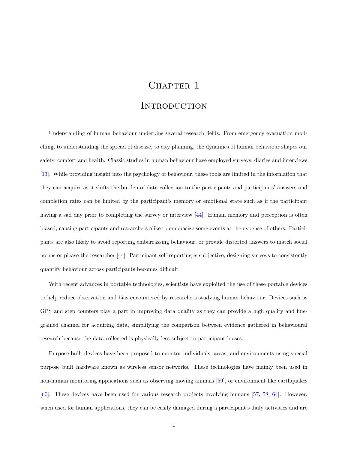# CHAPTER 1

# **INTRODUCTION**

<span id="page-9-0"></span>Understanding of human behaviour underpins several research fields. From emergency evacuation modelling, to understanding the spread of disease, to city planning, the dynamics of human behaviour shapes our safety, comfort and health. Classic studies in human behaviour have employed surveys, diaries and interviews [\[13\]](#page-61-0). While providing insight into the psychology of behaviour, these tools are limited in the information that they can acquire as it shifts the burden of data collection to the participants and participants' answers and completion rates can be limited by the participant's memory or emotional state such as if the participant having a sad day prior to completing the survey or interview [\[44\]](#page-63-0). Human memory and perception is often biased, causing participants and researchers alike to emphasize some events at the expense of others. Participants are also likely to avoid reporting embarrassing behaviour, or provide distorted answers to match social norms or please the researcher [\[44\]](#page-63-0). Participant self-reporting is subjective; designing surveys to consistently quantify behaviour across participants becomes difficult.

With recent advances in portable technologies, scientists have exploited the use of these portable devices to help reduce observation and bias encountered by researchers studying human behaviour. Devices such as GPS and step counters play a part in improving data quality as they can provide a high quality and finegrained channel for acquiring data, simplifying the comparison between evidence gathered in behavioural research because the data collected is physically less subject to participant biases.

Purpose-built devices have been proposed to monitor individuals, areas, and environments using special purpose built hardware known as wireless sensor networks. These technologies have mainly been used in non-human monitoring applications such as observing moving animals [\[59\]](#page-64-0), or environment like earthquakes [\[60\]](#page-64-1). These devices have been used for various research projects involving humans [\[57,](#page-64-2) [58,](#page-64-3) [64\]](#page-64-4). However, when used for human applications, they can be easily damaged during a participant's daily activities and are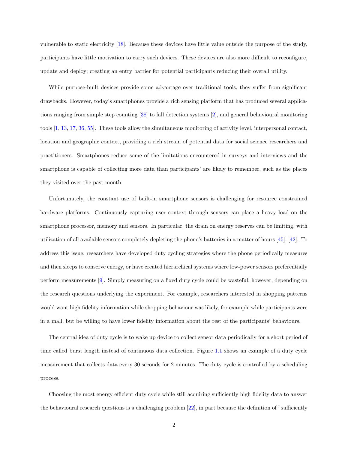vulnerable to static electricity [\[18\]](#page-62-0). Because these devices have little value outside the purpose of the study, participants have little motivation to carry such devices. These devices are also more difficult to reconfigure, update and deploy; creating an entry barrier for potential participants reducing their overall utility.

While purpose-built devices provide some advantage over traditional tools, they suffer from significant drawbacks. However, today's smartphones provide a rich sensing platform that has produced several applications ranging from simple step counting [\[38\]](#page-63-1) to fall detection systems [\[2\]](#page-61-1), and general behavioural monitoring tools [\[1,](#page-61-2) [13,](#page-61-0) [17,](#page-62-1) [36,](#page-63-2) [55\]](#page-64-5). These tools allow the simultaneous monitoring of activity level, interpersonal contact, location and geographic context, providing a rich stream of potential data for social science researchers and practitioners. Smartphones reduce some of the limitations encountered in surveys and interviews and the smartphone is capable of collecting more data than participants' are likely to remember, such as the places they visited over the past month.

Unfortunately, the constant use of built-in smartphone sensors is challenging for resource constrained hardware platforms. Continuously capturing user context through sensors can place a heavy load on the smartphone processor, memory and sensors. In particular, the drain on energy reserves can be limiting, with utilization of all available sensors completely depleting the phone's batteries in a matter of hours [\[45\]](#page-63-3), [\[42\]](#page-63-4). To address this issue, researchers have developed duty cycling strategies where the phone periodically measures and then sleeps to conserve energy, or have created hierarchical systems where low-power sensors preferentially perform measurements [\[9\]](#page-61-3). Simply measuring on a fixed duty cycle could be wasteful; however, depending on the research questions underlying the experiment. For example, researchers interested in shopping patterns would want high fidelity information while shopping behaviour was likely, for example while participants were in a mall, but be willing to have lower fidelity information about the rest of the participants' behaviours.

The central idea of duty cycle is to wake up device to collect sensor data periodically for a short period of time called burst length instead of continuous data collection. Figure [1.1](#page-11-0) shows an example of a duty cycle measurement that collects data every 30 seconds for 2 minutes. The duty cycle is controlled by a scheduling process.

Choosing the most energy efficient duty cycle while still acquiring sufficiently high fidelity data to answer the behavioural research questions is a challenging problem  $[22]$ , in part because the definition of "sufficiently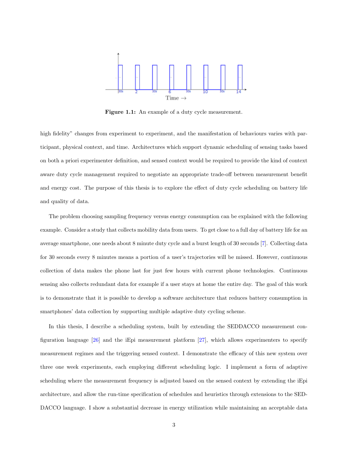<span id="page-11-0"></span>

Figure 1.1: An example of a duty cycle measurement.

high fidelity" changes from experiment to experiment, and the manifestation of behaviours varies with participant, physical context, and time. Architectures which support dynamic scheduling of sensing tasks based on both a priori experimenter definition, and sensed context would be required to provide the kind of context aware duty cycle management required to negotiate an appropriate trade-off between measurement benefit and energy cost. The purpose of this thesis is to explore the effect of duty cycle scheduling on battery life and quality of data.

The problem choosing sampling frequency versus energy consumption can be explained with the following example. Consider a study that collects mobility data from users. To get close to a full day of battery life for an average smartphone, one needs about 8 minute duty cycle and a burst length of 30 seconds [\[7\]](#page-61-4). Collecting data for 30 seconds every 8 minutes means a portion of a user's trajectories will be missed. However, continuous collection of data makes the phone last for just few hours with current phone technologies. Continuous sensing also collects redundant data for example if a user stays at home the entire day. The goal of this work is to demonstrate that it is possible to develop a software architecture that reduces battery consumption in smartphones' data collection by supporting multiple adaptive duty cycling scheme.

In this thesis, I describe a scheduling system, built by extending the SEDDACCO measurement configuration language [\[26\]](#page-62-3) and the iEpi measurement platform [\[27\]](#page-62-4), which allows experimenters to specify measurement regimes and the triggering sensed context. I demonstrate the efficacy of this new system over three one week experiments, each employing different scheduling logic. I implement a form of adaptive scheduling where the measurement frequency is adjusted based on the sensed context by extending the iEpi architecture, and allow the run-time specification of schedules and heuristics through extensions to the SED-DACCO language. I show a substantial decrease in energy utilization while maintaining an acceptable data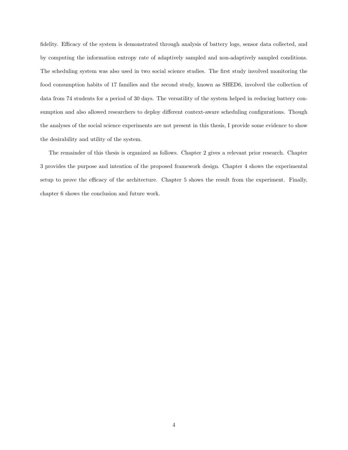fidelity. Efficacy of the system is demonstrated through analysis of battery logs, sensor data collected, and by computing the information entropy rate of adaptively sampled and non-adaptively sampled conditions. The scheduling system was also used in two social science studies. The first study involved monitoring the food consumption habits of 17 families and the second study, known as SHED6, involved the collection of data from 74 students for a period of 30 days. The versatility of the system helped in reducing battery consumption and also allowed researchers to deploy different context-aware scheduling configurations. Though the analyses of the social science experiments are not present in this thesis, I provide some evidence to show the desirability and utility of the system.

The remainder of this thesis is organized as follows. Chapter 2 gives a relevant prior research. Chapter 3 provides the purpose and intention of the proposed framework design. Chapter 4 shows the experimental setup to prove the efficacy of the architecture. Chapter 5 shows the result from the experiment. Finally, chapter 6 shows the conclusion and future work.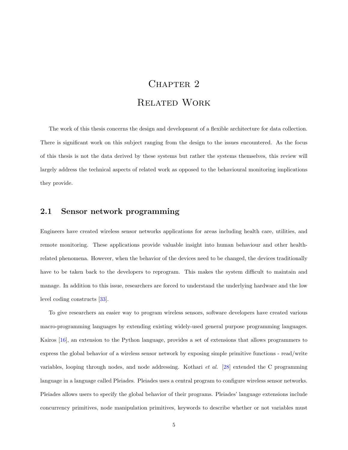# CHAPTER<sub>2</sub> Related Work

<span id="page-13-0"></span>The work of this thesis concerns the design and development of a flexible architecture for data collection. There is significant work on this subject ranging from the design to the issues encountered. As the focus of this thesis is not the data derived by these systems but rather the systems themselves, this review will largely address the technical aspects of related work as opposed to the behavioural monitoring implications they provide.

#### <span id="page-13-1"></span>2.1 Sensor network programming

Engineers have created wireless sensor networks applications for areas including health care, utilities, and remote monitoring. These applications provide valuable insight into human behaviour and other healthrelated phenomena. However, when the behavior of the devices need to be changed, the devices traditionally have to be taken back to the developers to reprogram. This makes the system difficult to maintain and manage. In addition to this issue, researchers are forced to understand the underlying hardware and the low level coding constructs [\[33\]](#page-63-5).

To give researchers an easier way to program wireless sensors, software developers have created various macro-programming languages by extending existing widely-used general purpose programming languages. Kairos [\[16\]](#page-62-5), an extension to the Python language, provides a set of extensions that allows programmers to express the global behavior of a wireless sensor network by exposing simple primitive functions - read/write variables, looping through nodes, and node addressing. Kothari et al. [\[28\]](#page-62-6) extended the C programming language in a language called Pleiades. Pleiades uses a central program to configure wireless sensor networks. Pleiades allows users to specify the global behavior of their programs. Pleiades' language extensions include concurrency primitives, node manipulation primitives, keywords to describe whether or not variables must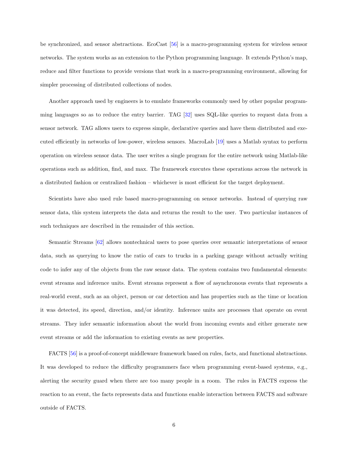be synchronized, and sensor abstractions. EcoCast [\[56\]](#page-64-6) is a macro-programming system for wireless sensor networks. The system works as an extension to the Python programming language. It extends Python's map, reduce and filter functions to provide versions that work in a macro-programming environment, allowing for simpler processing of distributed collections of nodes.

Another approach used by engineers is to emulate frameworks commonly used by other popular programming languages so as to reduce the entry barrier. TAG [\[32\]](#page-63-6) uses SQL-like queries to request data from a sensor network. TAG allows users to express simple, declarative queries and have them distributed and executed efficiently in networks of low-power, wireless sensors. MacroLab [\[19\]](#page-62-7) uses a Matlab syntax to perform operation on wireless sensor data. The user writes a single program for the entire network using Matlab-like operations such as addition, find, and max. The framework executes these operations across the network in a distributed fashion or centralized fashion – whichever is most efficient for the target deployment.

Scientists have also used rule based macro-programming on sensor networks. Instead of querying raw sensor data, this system interprets the data and returns the result to the user. Two particular instances of such techniques are described in the remainder of this section.

Semantic Streams [\[62\]](#page-64-7) allows nontechnical users to pose queries over semantic interpretations of sensor data, such as querying to know the ratio of cars to trucks in a parking garage without actually writing code to infer any of the objects from the raw sensor data. The system contains two fundamental elements: event streams and inference units. Event streams represent a flow of asynchronous events that represents a real-world event, such as an object, person or car detection and has properties such as the time or location it was detected, its speed, direction, and/or identity. Inference units are processes that operate on event streams. They infer semantic information about the world from incoming events and either generate new event streams or add the information to existing events as new properties.

FACTS [\[56\]](#page-64-6) is a proof-of-concept middleware framework based on rules, facts, and functional abstractions. It was developed to reduce the difficulty programmers face when programming event-based systems, e.g., alerting the security guard when there are too many people in a room. The rules in FACTS express the reaction to an event, the facts represents data and functions enable interaction between FACTS and software outside of FACTS.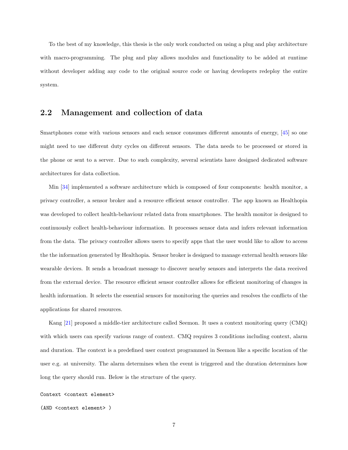To the best of my knowledge, this thesis is the only work conducted on using a plug and play architecture with macro-programming. The plug and play allows modules and functionality to be added at runtime without developer adding any code to the original source code or having developers redeploy the entire system.

### <span id="page-15-0"></span>2.2 Management and collection of data

Smartphones come with various sensors and each sensor consumes different amounts of energy, [\[45\]](#page-63-3) so one might need to use different duty cycles on different sensors. The data needs to be processed or stored in the phone or sent to a server. Due to such complexity, several scientists have designed dedicated software architectures for data collection.

Min [\[34\]](#page-63-7) implemented a software architecture which is composed of four components: health monitor, a privacy controller, a sensor broker and a resource efficient sensor controller. The app known as Healthopia was developed to collect health-behaviour related data from smartphones. The health monitor is designed to continuously collect health-behaviour information. It processes sensor data and infers relevant information from the data. The privacy controller allows users to specify apps that the user would like to allow to access the the information generated by Healthopia. Sensor broker is designed to manage external health sensors like wearable devices. It sends a broadcast message to discover nearby sensors and interprets the data received from the external device. The resource efficient sensor controller allows for efficient monitoring of changes in health information. It selects the essential sensors for monitoring the queries and resolves the conflicts of the applications for shared resources.

Kang [\[21\]](#page-62-8) proposed a middle-tier architecture called Seemon. It uses a context monitoring query (CMQ) with which users can specify various range of context. CMQ requires 3 conditions including context, alarm and duration. The context is a predefined user context programmed in Seemon like a specific location of the user e.g. at university. The alarm determines when the event is triggered and the duration determines how long the query should run. Below is the structure of the query.

Context <context element>

(AND <context element> )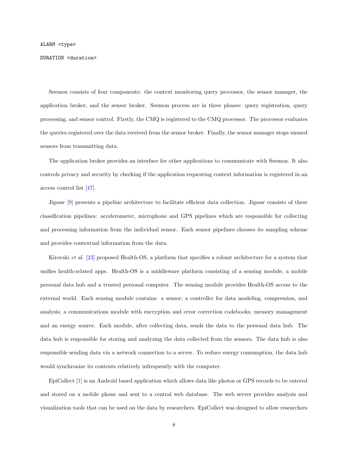#### DURATION <duration>

Seemon consists of four components: the context monitoring query processor, the sensor manager, the application broker, and the sensor broker. Seemon process are in three phases: query registration, query processing, and sensor control. Firstly, the CMQ is registered to the CMQ processor. The processor evaluates the queries registered over the data received from the sensor broker. Finally, the sensor manager stops unused sensors from transmitting data.

The application broker provides an interface for other applications to communicate with Seemon. It also controls privacy and security by checking if the application requesting context information is registered in an access control list [\[47\]](#page-63-8).

Jigsaw [\[9\]](#page-61-3) presents a pipeline architecture to facilitate efficient data collection. Jigsaw consists of three classification pipelines: accelerometer, microphone and GPS pipelines which are responsible for collecting and processing information from the individual sensor. Each sensor pipelines chooses its sampling scheme and provides contextual information from the data.

Kirovski et al. [\[23\]](#page-62-9) proposed Health-OS, a platform that specifies a robust architecture for a system that unifies health-related apps. Health-OS is a middleware platform consisting of a sensing module, a mobile personal data hub and a trusted personal computer. The sensing module provides Health-OS access to the external world. Each sensing module contains: a sensor; a controller for data modeling, compression, and analysis; a communications module with encryption and error correction codebooks; memory management and an energy source. Each module, after collecting data, sends the data to the personal data hub. The data hub is responsible for storing and analyzing the data collected from the sensors. The data hub is also responsible sending data via a network connection to a server. To reduce energy consumption, the data hub would synchronize its contents relatively infrequently with the computer.

EpiCollect [\[1\]](#page-61-2) is an Android based application which allows data like photos or GPS records to be entered and stored on a mobile phone and sent to a central web database. The web server provides analysis and visualization tools that can be used on the data by researchers. EpiCollect was designed to allow researchers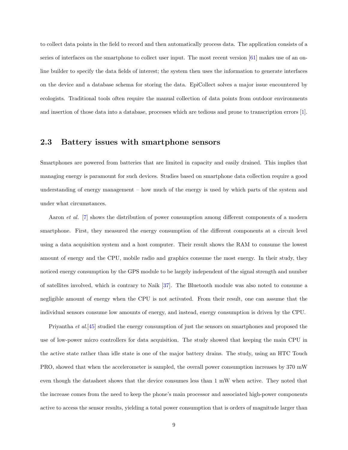to collect data points in the field to record and then automatically process data. The application consists of a series of interfaces on the smartphone to collect user input. The most recent version [\[61\]](#page-64-8) makes use of an online builder to specify the data fields of interest; the system then uses the information to generate interfaces on the device and a database schema for storing the data. EpiCollect solves a major issue encountered by ecologists. Traditional tools often require the manual collection of data points from outdoor environments and insertion of those data into a database, processes which are tedious and prone to transcription errors [\[1\]](#page-61-2).

# <span id="page-17-0"></span>2.3 Battery issues with smartphone sensors

Smartphones are powered from batteries that are limited in capacity and easily drained. This implies that managing energy is paramount for such devices. Studies based on smartphone data collection require a good understanding of energy management – how much of the energy is used by which parts of the system and under what circumstances.

Aaron et al. [\[7\]](#page-61-4) shows the distribution of power consumption among different components of a modern smartphone. First, they measured the energy consumption of the different components at a circuit level using a data acquisition system and a host computer. Their result shows the RAM to consume the lowest amount of energy and the CPU, mobile radio and graphics consume the most energy. In their study, they noticed energy consumption by the GPS module to be largely independent of the signal strength and number of satellites involved, which is contrary to Naik [\[37\]](#page-63-9). The Bluetooth module was also noted to consume a negligible amount of energy when the CPU is not activated. From their result, one can assume that the individual sensors consume low amounts of energy, and instead, energy consumption is driven by the CPU.

Priyantha et al.[\[45\]](#page-63-3) studied the energy consumption of just the sensors on smartphones and proposed the use of low-power micro controllers for data acquisition. The study showed that keeping the main CPU in the active state rather than idle state is one of the major battery drains. The study, using an HTC Touch PRO, showed that when the accelerometer is sampled, the overall power consumption increases by 370 mW even though the datasheet shows that the device consumes less than 1 mW when active. They noted that the increase comes from the need to keep the phone's main processor and associated high-power components active to access the sensor results, yielding a total power consumption that is orders of magnitude larger than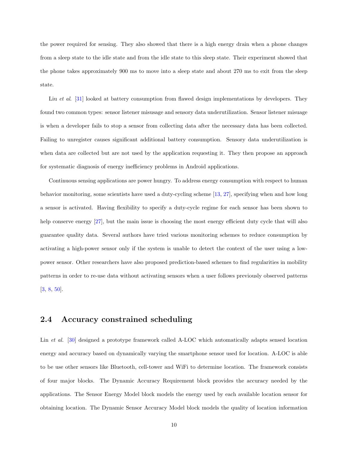the power required for sensing. They also showed that there is a high energy drain when a phone changes from a sleep state to the idle state and from the idle state to this sleep state. Their experiment showed that the phone takes approximately 900 ms to move into a sleep state and about 270 ms to exit from the sleep state.

Liu *et al.* [\[31\]](#page-63-10) looked at battery consumption from flawed design implementations by developers. They found two common types: sensor listener misusage and sensory data underutilization. Sensor listener misuage is when a developer fails to stop a sensor from collecting data after the necessary data has been collected. Failing to unregister causes significant additional battery consumption. Sensory data underutilization is when data are collected but are not used by the application requesting it. They then propose an approach for systematic diagnosis of energy inefficiency problems in Android applications.

Continuous sensing applications are power hungry. To address energy consumption with respect to human behavior monitoring, some scientists have used a duty-cycling scheme [\[13,](#page-61-0) [27\]](#page-62-4), specifying when and how long a sensor is activated. Having flexibility to specify a duty-cycle regime for each sensor has been shown to help conserve energy [\[27\]](#page-62-4), but the main issue is choosing the most energy efficient duty cycle that will also guarantee quality data. Several authors have tried various monitoring schemes to reduce consumption by activating a high-power sensor only if the system is unable to detect the context of the user using a lowpower sensor. Other researchers have also proposed prediction-based schemes to find regularities in mobility patterns in order to re-use data without activating sensors when a user follows previously observed patterns [\[3,](#page-61-5) [8,](#page-61-6) [50\]](#page-64-9).

## <span id="page-18-0"></span>2.4 Accuracy constrained scheduling

Lin et al. [\[30\]](#page-62-10) designed a prototype framework called A-LOC which automatically adapts sensed location energy and accuracy based on dynamically varying the smartphone sensor used for location. A-LOC is able to be use other sensors like Bluetooth, cell-tower and WiFi to determine location. The framework consists of four major blocks. The Dynamic Accuracy Requirement block provides the accuracy needed by the applications. The Sensor Energy Model block models the energy used by each available location sensor for obtaining location. The Dynamic Sensor Accuracy Model block models the quality of location information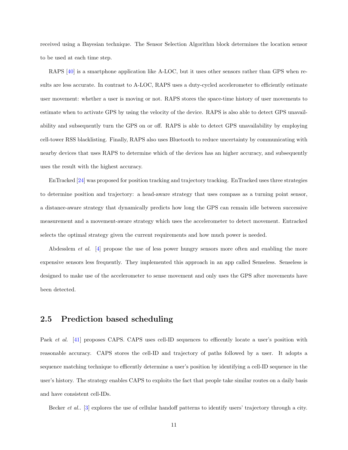received using a Bayesian technique. The Sensor Selection Algorithm block determines the location sensor to be used at each time step.

RAPS [\[40\]](#page-63-11) is a smartphone application like A-LOC, but it uses other sensors rather than GPS when results are less accurate. In contrast to A-LOC, RAPS uses a duty-cycled accelerometer to efficiently estimate user movement: whether a user is moving or not. RAPS stores the space-time history of user movements to estimate when to activate GPS by using the velocity of the device. RAPS is also able to detect GPS unavailability and subsequently turn the GPS on or off. RAPS is able to detect GPS unavailability by employing cell-tower RSS blacklisting. Finally, RAPS also uses Bluetooth to reduce uncertainty by communicating with nearby devices that uses RAPS to determine which of the devices has an higher accuracy, and subsequently uses the result with the highest accuracy.

EnTracked [\[24\]](#page-62-11) was proposed for position tracking and trajectory tracking. EnTracked uses three strategies to determine position and trajectory: a head-aware strategy that uses compass as a turning point sensor, a distance-aware strategy that dynamically predicts how long the GPS can remain idle between successive measurement and a movement-aware strategy which uses the accelerometer to detect movement. Entracked selects the optimal strategy given the current requirements and how much power is needed.

Abdesslem et al. [\[4\]](#page-61-7) propose the use of less power hungry sensors more often and enabling the more expensive sensors less frequently. They implemented this approach in an app called Senseless. Senseless is designed to make use of the accelerometer to sense movement and only uses the GPS after movements have been detected.

### <span id="page-19-0"></span>2.5 Prediction based scheduling

Paek et al. [\[41\]](#page-63-12) proposes CAPS. CAPS uses cell-ID sequences to efficently locate a user's position with reasonable accuracy. CAPS stores the cell-ID and trajectory of paths followed by a user. It adopts a sequence matching technique to efficently determine a user's position by identifying a cell-ID sequence in the user's history. The strategy enables CAPS to exploits the fact that people take similar routes on a daily basis and have consistent cell-IDs.

Becker et al.. [\[3\]](#page-61-5) explores the use of cellular handoff patterns to identify users' trajectory through a city.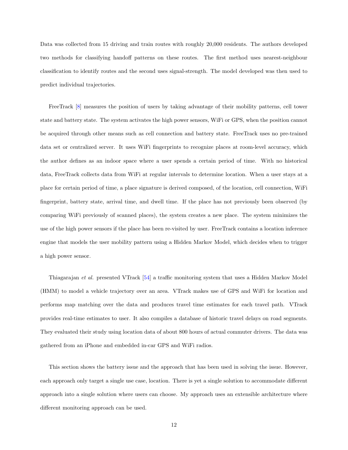Data was collected from 15 driving and train routes with roughly 20,000 residents. The authors developed two methods for classifying handoff patterns on these routes. The first method uses nearest-neighbour classification to identify routes and the second uses signal-strength. The model developed was then used to predict individual trajectories.

FreeTrack [\[8\]](#page-61-6) measures the position of users by taking advantage of their mobility patterns, cell tower state and battery state. The system activates the high power sensors, WiFi or GPS, when the position cannot be acquired through other means such as cell connection and battery state. FreeTrack uses no pre-trained data set or centralized server. It uses WiFi fingerprints to recognize places at room-level accuracy, which the author defines as an indoor space where a user spends a certain period of time. With no historical data, FreeTrack collects data from WiFi at regular intervals to determine location. When a user stays at a place for certain period of time, a place signature is derived composed, of the location, cell connection, WiFi fingerprint, battery state, arrival time, and dwell time. If the place has not previously been observed (by comparing WiFi previously of scanned places), the system creates a new place. The system minimizes the use of the high power sensors if the place has been re-visited by user. FreeTrack contains a location inference engine that models the user mobility pattern using a Hidden Markov Model, which decides when to trigger a high power sensor.

Thiagarajan et al. presented VTrack [\[54\]](#page-64-10) a traffic monitoring system that uses a Hidden Markov Model (HMM) to model a vehicle trajectory over an area. VTrack makes use of GPS and WiFi for location and performs map matching over the data and produces travel time estimates for each travel path. VTrack provides real-time estimates to user. It also compiles a database of historic travel delays on road segments. They evaluated their study using location data of about 800 hours of actual commuter drivers. The data was gathered from an iPhone and embedded in-car GPS and WiFi radios.

This section shows the battery issue and the approach that has been used in solving the issue. However, each approach only target a single use case, location. There is yet a single solution to accommodate different approach into a single solution where users can choose. My approach uses an extensible architecture where different monitoring approach can be used.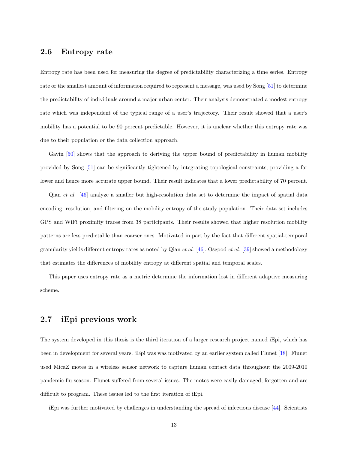#### <span id="page-21-0"></span>2.6 Entropy rate

Entropy rate has been used for measuring the degree of predictability characterizing a time series. Entropy rate or the smallest amount of information required to represent a message, was used by Song [\[51\]](#page-64-11) to determine the predictability of individuals around a major urban center. Their analysis demonstrated a modest entropy rate which was independent of the typical range of a user's trajectory. Their result showed that a user's mobility has a potential to be 90 percent predictable. However, it is unclear whether this entropy rate was due to their population or the data collection approach.

Gavin [\[50\]](#page-64-9) shows that the approach to deriving the upper bound of predictability in human mobility provided by Song [\[51\]](#page-64-11) can be significantly tightened by integrating topological constraints, providing a far lower and hence more accurate upper bound. Their result indicates that a lower predictability of 70 percent.

Qian et al. [\[46\]](#page-63-13) analyze a smaller but high-resolution data set to determine the impact of spatial data encoding, resolution, and filtering on the mobility entropy of the study population. Their data set includes GPS and WiFi proximity traces from 38 participants. Their results showed that higher resolution mobility patterns are less predictable than coarser ones. Motivated in part by the fact that different spatial-temporal granularity yields different entropy rates as noted by Qian *et al.* [\[46\]](#page-63-13), Osgood *et al.* [\[39\]](#page-63-14) showed a methodology that estimates the differences of mobility entropy at different spatial and temporal scales.

This paper uses entropy rate as a metric determine the information lost in different adaptive measuring scheme.

### <span id="page-21-1"></span>2.7 iEpi previous work

The system developed in this thesis is the third iteration of a larger research project named iEpi, which has been in development for several years. iEpi was was motivated by an earlier system called Flunet [\[18\]](#page-62-0). Flunet used MicaZ motes in a wireless sensor network to capture human contact data throughout the 2009-2010 pandemic flu season. Flunet suffered from several issues. The motes were easily damaged, forgotten and are difficult to program. These issues led to the first iteration of iEpi.

iEpi was further motivated by challenges in understanding the spread of infectious disease [\[44\]](#page-63-0). Scientists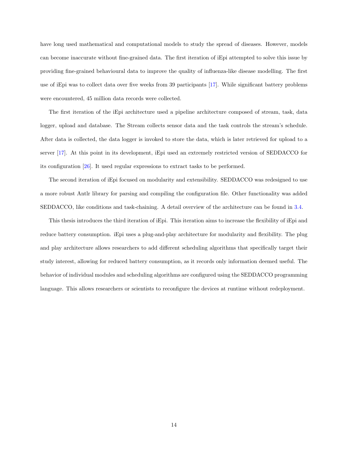have long used mathematical and computational models to study the spread of diseases. However, models can become inaccurate without fine-grained data. The first iteration of iEpi attempted to solve this issue by providing fine-grained behavioural data to improve the quality of influenza-like disease modelling. The first use of iEpi was to collect data over five weeks from 39 participants [\[17\]](#page-62-1). While significant battery problems were encountered, 45 million data records were collected.

The first iteration of the iEpi architecture used a pipeline architecture composed of stream, task, data logger, upload and database. The Stream collects sensor data and the task controls the stream's schedule. After data is collected, the data logger is invoked to store the data, which is later retrieved for upload to a server [\[17\]](#page-62-1). At this point in its development, iEpi used an extremely restricted version of SEDDACCO for its configuration [\[26\]](#page-62-3). It used regular expressions to extract tasks to be performed.

The second iteration of iEpi focused on modularity and extensibility. SEDDACCO was redesigned to use a more robust Antlr library for parsing and compiling the configuration file. Other functionality was added SEDDACCO, like conditions and task-chaining. A detail overview of the architecture can be found in [3.4.](#page-26-0)

This thesis introduces the third iteration of iEpi. This iteration aims to increase the flexibility of iEpi and reduce battery consumption. iEpi uses a plug-and-play architecture for modularity and flexibility. The plug and play architecture allows researchers to add different scheduling algorithms that specifically target their study interest, allowing for reduced battery consumption, as it records only information deemed useful. The behavior of individual modules and scheduling algorithms are configured using the SEDDACCO programming language. This allows researchers or scientists to reconfigure the devices at runtime without redeployment.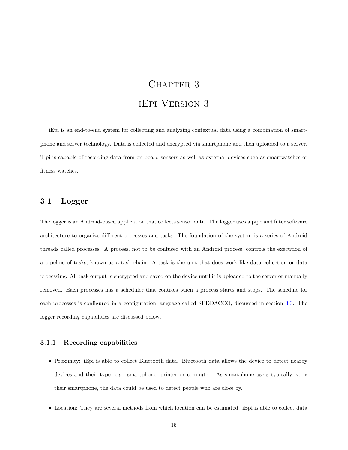# CHAPTER<sub>3</sub> iEpi Version 3

<span id="page-23-0"></span>iEpi is an end-to-end system for collecting and analyzing contextual data using a combination of smartphone and server technology. Data is collected and encrypted via smartphone and then uploaded to a server. iEpi is capable of recording data from on-board sensors as well as external devices such as smartwatches or fitness watches.

#### <span id="page-23-1"></span>3.1 Logger

The logger is an Android-based application that collects sensor data. The logger uses a pipe and filter software architecture to organize different processes and tasks. The foundation of the system is a series of Android threads called processes. A process, not to be confused with an Android process, controls the execution of a pipeline of tasks, known as a task chain. A task is the unit that does work like data collection or data processing. All task output is encrypted and saved on the device until it is uploaded to the server or manually removed. Each processes has a scheduler that controls when a process starts and stops. The schedule for each processes is configured in a configuration language called SEDDACCO, discussed in section [3.3.](#page-25-1) The logger recording capabilities are discussed below.

#### <span id="page-23-2"></span>3.1.1 Recording capabilities

- Proximity: iEpi is able to collect Bluetooth data. Bluetooth data allows the device to detect nearby devices and their type, e.g. smartphone, printer or computer. As smartphone users typically carry their smartphone, the data could be used to detect people who are close by.
- Location: They are several methods from which location can be estimated. iEpi is able to collect data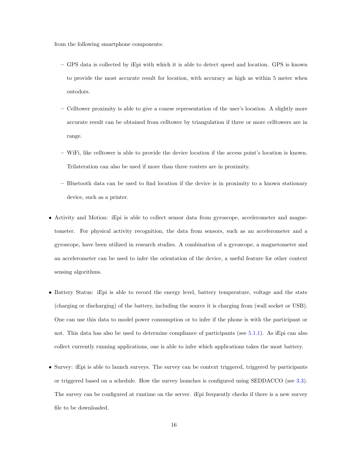from the following smartphone components:

- GPS data is collected by iEpi with which it is able to detect speed and location. GPS is known to provide the most accurate result for location, with accuracy as high as within 5 meter when outodors.
- Celltower proximity is able to give a coarse representation of the user's location. A slightly more accurate result can be obtained from celltower by triangulation if three or more celltowers are in range.
- WiFi, like celltower is able to provide the device location if the access point's location is known. Trilateration can also be used if more than three routers are in proximity.
- Bluetooth data can be used to find location if the device is in proximity to a known stationary device, such as a printer.
- Activity and Motion: iEpi is able to collect sensor data from gyroscope, accelerometer and magnetometer. For physical activity recognition, the data from sensors, such as an accelerometer and a gyroscope, have been utilized in research studies. A combination of a gyroscope, a magnetometer and an accelerometer can be used to infer the orientation of the device, a useful feature for other context sensing algorithms.
- Battery Status: iEpi is able to record the energy level, battery temperature, voltage and the state (charging or discharging) of the battery, including the source it is charging from (wall socket or USB). One can use this data to model power consumption or to infer if the phone is with the participant or not. This data has also be used to determine compliance of participants (see [5.1.1\)](#page-45-2). As iEpi can also collect currently running applications, one is able to infer which applications takes the most battery.
- Survey: iEpi is able to launch surveys. The survey can be context triggered, triggered by participants or triggered based on a schedule. How the survey launches is configured using SEDDACCO (see [3.3\)](#page-25-1). The survey can be configured at runtime on the server. iEpi frequently checks if there is a new survey file to be downloaded.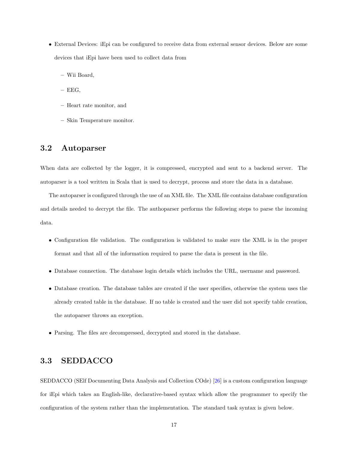- External Devices: iEpi can be configured to receive data from external sensor devices. Below are some devices that iEpi have been used to collect data from
	- Wii Board,
	- $-$  EEG,
	- Heart rate monitor, and
	- Skin Temperature monitor.

### <span id="page-25-0"></span>3.2 Autoparser

When data are collected by the logger, it is compressed, encrypted and sent to a backend server. The autoparser is a tool written in Scala that is used to decrypt, process and store the data in a database.

The autoparser is configured through the use of an XML file. The XML file contains database configuration and details needed to decrypt the file. The authoparser performs the following steps to parse the incoming data.

- Configuration file validation. The configuration is validated to make sure the XML is in the proper format and that all of the information required to parse the data is present in the file.
- Database connection. The database login details which includes the URL, username and password.
- Database creation. The database tables are created if the user specifies, otherwise the system uses the already created table in the database. If no table is created and the user did not specify table creation, the autoparser throws an exception.
- Parsing. The files are decompressed, decrypted and stored in the database.

## <span id="page-25-1"></span>3.3 SEDDACCO

SEDDACCO (SElf Documenting Data Analysis and Collection COde) [\[26\]](#page-62-3) is a custom configuration language for iEpi which takes an English-like, declarative-based syntax which allow the programmer to specify the configuration of the system rather than the implementation. The standard task syntax is given below.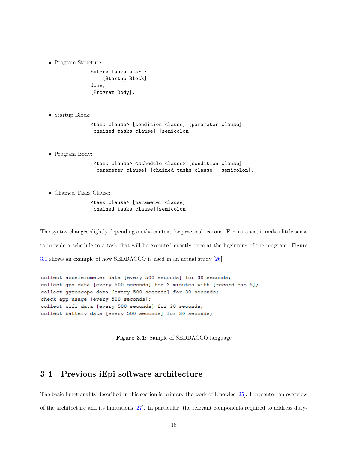• Program Structure:

```
before tasks start:
    [Startup Block]
done;
[Program Body].
```
• Startup Block:

<task clause> [condition clause] [parameter clause] [chained tasks clause] [semicolon].

• Program Body:

<task clause> <schedule clause> [condition clause] [parameter clause] [chained tasks clause] [semicolon].

• Chained Tasks Clause:

<task clause> [parameter clause] [chained tasks clause][semicolon].

The syntax changes slightly depending on the context for practical reasons. For instance, it makes little sense to provide a schedule to a task that will be executed exactly once at the beginning of the program. Figure [3.1](#page-26-1) shows an example of how SEDDACCO is used in an actual study [\[26\]](#page-62-3).

<span id="page-26-1"></span>collect accelerometer data [every 500 seconds] for 30 seconds; collect gps data [every 500 seconds] for 3 minutes with [record cap 5]; collect qyroscope data [every 500 seconds] for 30 seconds; check app usage [every 500 seconds]; collect wifi data [every 500 seconds] for 30 seconds; collect battery data [every 500 seconds] for 30 seconds;

Figure 3.1: Sample of SEDDACCO language

### <span id="page-26-0"></span>3.4 Previous iEpi software architecture

The basic functionality described in this section is primary the work of Knowles [\[25\]](#page-62-12). I presented an overview of the architecture and its limitations [\[27\]](#page-62-4). In particular, the relevant components required to address duty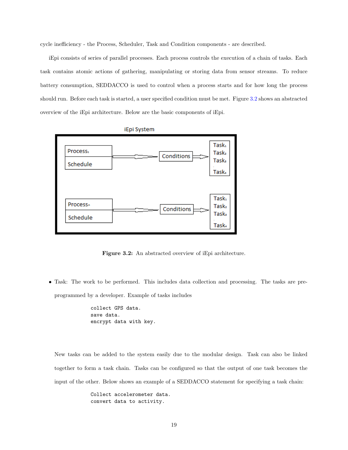cycle inefficiency - the Process, Scheduler, Task and Condition components - are described.

iEpi consists of series of parallel processes. Each process controls the execution of a chain of tasks. Each task contains atomic actions of gathering, manipulating or storing data from sensor streams. To reduce battery consumption, SEDDACCO is used to control when a process starts and for how long the process should run. Before each task is started, a user specified condition must be met. Figure [3.2](#page-27-0) shows an abstracted overview of the iEpi architecture. Below are the basic components of iEpi.

<span id="page-27-0"></span>

iEpi System

Figure 3.2: An abstracted overview of iEpi architecture.

• Task: The work to be performed. This includes data collection and processing. The tasks are preprogrammed by a developer. Example of tasks includes

> collect GPS data. save data. encrypt data with key.

New tasks can be added to the system easily due to the modular design. Task can also be linked together to form a task chain. Tasks can be configured so that the output of one task becomes the input of the other. Below shows an example of a SEDDACCO statement for specifying a task chain:

> Collect accelerometer data. convert data to activity.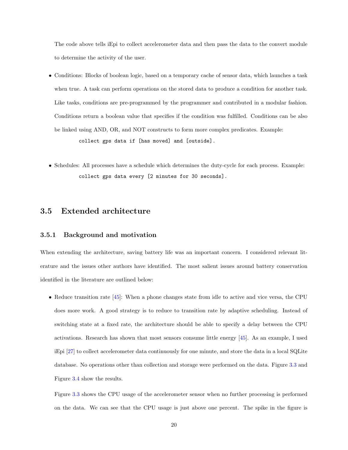The code above tells iEpi to collect accelerometer data and then pass the data to the convert module to determine the activity of the user.

- Conditions: Blocks of boolean logic, based on a temporary cache of sensor data, which launches a task when true. A task can perform operations on the stored data to produce a condition for another task. Like tasks, conditions are pre-programmed by the programmer and contributed in a modular fashion. Conditions return a boolean value that specifies if the condition was fulfilled. Conditions can be also be linked using AND, OR, and NOT constructs to form more complex predicates. Example: collect gps data if [has moved] and [outside].
- Schedules: All processes have a schedule which determines the duty-cycle for each process. Example: collect gps data every [2 minutes for 30 seconds].

#### <span id="page-28-0"></span>3.5 Extended architecture

#### <span id="page-28-1"></span>3.5.1 Background and motivation

When extending the architecture, saving battery life was an important concern. I considered relevant literature and the issues other authors have identified. The most salient issues around battery conservation identified in the literature are outlined below:

• Reduce transition rate [\[45\]](#page-63-3): When a phone changes state from idle to active and vice versa, the CPU does more work. A good strategy is to reduce to transition rate by adaptive scheduling. Instead of switching state at a fixed rate, the architecture should be able to specify a delay between the CPU activations. Research has shown that most sensors consume little energy [\[45\]](#page-63-3). As an example, I used iEpi [\[27\]](#page-62-4) to collect accelerometer data continuously for one minute, and store the data in a local SQLite database. No operations other than collection and storage were performed on the data. Figure [3.3](#page-29-0) and Figure [3.4](#page-29-1) show the results.

Figure [3.3](#page-29-0) shows the CPU usage of the accelerometer sensor when no further processing is performed on the data. We can see that the CPU usage is just above one percent. The spike in the figure is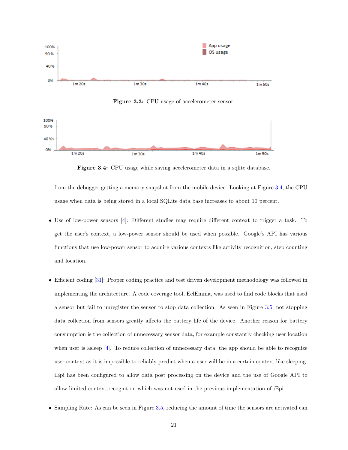<span id="page-29-0"></span>

Figure 3.3: CPU usage of accelerometer sensor.

<span id="page-29-1"></span>

Figure 3.4: CPU usage while saving accelerometer data in a sqlite database.

from the debugger getting a memory snapshot from the mobile device. Looking at Figure [3.4,](#page-29-1) the CPU usage when data is being stored in a local SQLite data base increases to about 10 percent.

- Use of low-power sensors [\[4\]](#page-61-7): Different studies may require different context to trigger a task. To get the user's context, a low-power sensor should be used when possible. Google's API has various functions that use low-power sensor to acquire various contexts like activity recognition, step counting and location.
- Efficient coding [\[31\]](#page-63-10): Proper coding practice and test driven development methodology was followed in implementing the architecture. A code coverage tool, EclEmma, was used to find code blocks that used a sensor but fail to unregister the sensor to stop data collection. As seen in Figure [3.5,](#page-30-1) not stopping data collection from sensors greatly affects the battery life of the device. Another reason for battery consumption is the collection of unnecessary sensor data, for example constantly checking user location when user is asleep [\[4\]](#page-61-7). To reduce collection of unnecessary data, the app should be able to recognize user context as it is impossible to reliably predict when a user will be in a certain context like sleeping. iEpi has been configured to allow data post processing on the device and the use of Google API to allow limited context-recognition which was not used in the previous implementation of iEpi.
- Sampling Rate: As can be seen in Figure [3.5,](#page-30-1) reducing the amount of time the sensors are activated can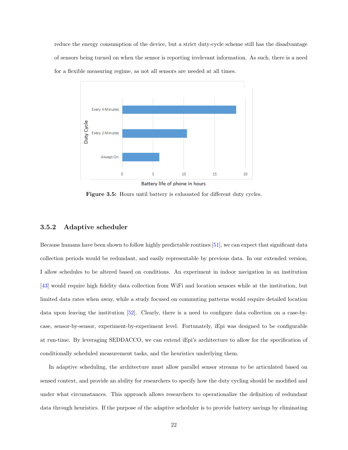<span id="page-30-1"></span>reduce the energy consumption of the device, but a strict duty-cycle scheme still has the disadvantage of sensors being turned on when the sensor is reporting irrelevant information. As such, there is a need for a flexible measuring regime, as not all sensors are needed at all times.



Battery life of phone in hours

Figure 3.5: Hours until battery is exhausted for different duty cycles.

#### <span id="page-30-0"></span>3.5.2 Adaptive scheduler

Because humans have been shown to follow highly predictable routines [\[51\]](#page-64-11), we can expect that significant data collection periods would be redundant, and easily representable by previous data. In our extended version, I allow schedules to be altered based on conditions. An experiment in indoor navigation in an institution [\[43\]](#page-63-15) would require high fidelity data collection from WiFi and location sensors while at the institution, but limited data rates when away, while a study focused on commuting patterns would require detailed location data upon leaving the institution [\[52\]](#page-64-12). Clearly, there is a need to configure data collection on a case-bycase, sensor-by-sensor, experiment-by-experiment level. Fortunately, iEpi was designed to be configurable at run-time. By leveraging SEDDACCO, we can extend iEpi's architecture to allow for the specification of conditionally scheduled measurement tasks, and the heuristics underlying them.

In adaptive scheduling, the architecture must allow parallel sensor streams to be articulated based on sensed context, and provide an ability for researchers to specify how the duty cycling should be modified and under what circumstances. This approach allows researchers to operationalize the definition of redundant data through heuristics. If the purpose of the adaptive scheduler is to provide battery savings by eliminating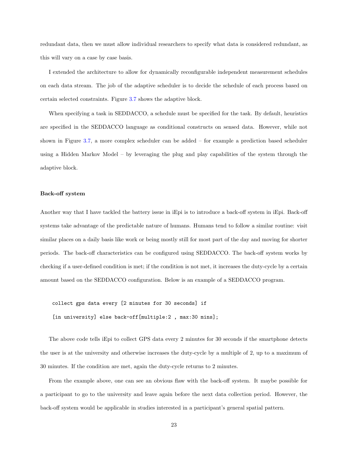redundant data, then we must allow individual researchers to specify what data is considered redundant, as this will vary on a case by case basis.

I extended the architecture to allow for dynamically reconfigurable independent measurement schedules on each data stream. The job of the adaptive scheduler is to decide the schedule of each process based on certain selected constraints. Figure [3.7](#page-33-0) shows the adaptive block.

When specifying a task in SEDDACCO, a schedule must be specified for the task. By default, heuristics are specified in the SEDDACCO language as conditional constructs on sensed data. However, while not shown in Figure [3.7,](#page-33-0) a more complex scheduler can be added – for example a prediction based scheduler using a Hidden Markov Model – by leveraging the plug and play capabilities of the system through the adaptive block.

#### Back-off system

Another way that I have tackled the battery issue in iEpi is to introduce a back-off system in iEpi. Back-off systems take advantage of the predictable nature of humans. Humans tend to follow a similar routine: visit similar places on a daily basis like work or being mostly still for most part of the day and moving for shorter periods. The back-off characteristics can be configured using SEDDACCO. The back-off system works by checking if a user-defined condition is met; if the condition is not met, it increases the duty-cycle by a certain amount based on the SEDDACCO configuration. Below is an example of a SEDDACCO program.

collect gps data every [2 minutes for 30 seconds] if

[in university] else back-off[multiple:2, max:30 mins];

The above code tells iEpi to collect GPS data every 2 minutes for 30 seconds if the smartphone detects the user is at the university and otherwise increases the duty-cycle by a multiple of 2, up to a maximum of 30 minutes. If the condition are met, again the duty-cycle returns to 2 minutes.

From the example above, one can see an obvious flaw with the back-off system. It maybe possible for a participant to go to the university and leave again before the next data collection period. However, the back-off system would be applicable in studies interested in a participant's general spatial pattern.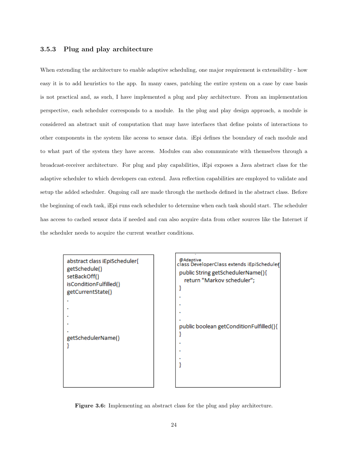#### <span id="page-32-0"></span>3.5.3 Plug and play architecture

When extending the architecture to enable adaptive scheduling, one major requirement is extensibility - how easy it is to add heuristics to the app. In many cases, patching the entire system on a case by case basis is not practical and, as such, I have implemented a plug and play architecture. From an implementation perspective, each scheduler corresponds to a module. In the plug and play design approach, a module is considered an abstract unit of computation that may have interfaces that define points of interactions to other components in the system like access to sensor data. iEpi defines the boundary of each module and to what part of the system they have access. Modules can also communicate with themselves through a broadcast-receiver architecture. For plug and play capabilities, iEpi exposes a Java abstract class for the adaptive scheduler to which developers can extend. Java reflection capabilities are employed to validate and setup the added scheduler. Ongoing call are made through the methods defined in the abstract class. Before the beginning of each task, iEpi runs each scheduler to determine when each task should start. The scheduler has access to cached sensor data if needed and can also acquire data from other sources like the Internet if the scheduler needs to acquire the current weather conditions.

<span id="page-32-1"></span>

| abstract class iEpiScheduler{<br>getSchedule()<br>setBackOff()<br>isConditionFulfilled()<br>getCurrentState() |
|---------------------------------------------------------------------------------------------------------------|
|                                                                                                               |
|                                                                                                               |
|                                                                                                               |
|                                                                                                               |
|                                                                                                               |
| getSchedulerName()                                                                                            |
|                                                                                                               |
|                                                                                                               |
|                                                                                                               |
|                                                                                                               |
|                                                                                                               |



Figure 3.6: Implementing an abstract class for the plug and play architecture.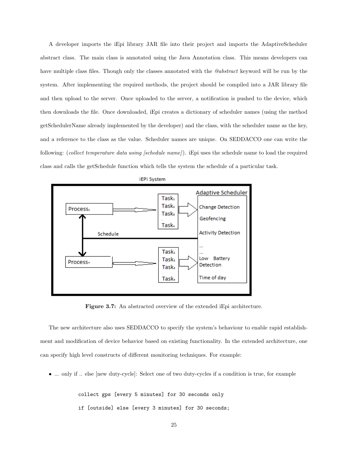A developer imports the iEpi library JAR file into their project and imports the AdaptiveScheduler abstract class. The main class is annotated using the Java Annotation class. This means developers can have multiple class files. Though only the classes annotated with the *@abstract* keyword will be run by the system. After implementing the required methods, the project should be compiled into a JAR library file and then upload to the server. Once uploaded to the server, a notification is pushed to the device, which then downloads the file. Once downloaded, iEpi creates a dictionary of scheduler names (using the method getSchedulerName already implemented by the developer) and the class, with the scheduler name as the key, and a reference to the class as the value. Scheduler names are unique. On SEDDACCO one can write the following: (collect temperature data using [schedule name]). iEpi uses the schedule name to load the required class and calls the getSchedule function which tells the system the schedule of a particular task.

<span id="page-33-0"></span>

Figure 3.7: An abstracted overview of the extended iEpi architecture.

The new architecture also uses SEDDACCO to specify the system's behaviour to enable rapid establishment and modification of device behavior based on existing functionality. In the extended architecture, one can specify high level constructs of different monitoring techniques. For example:

• ... only if .. else [new duty-cycle]: Select one of two duty-cycles if a condition is true, for example

collect gps [every 5 minutes] for 30 seconds only if [outside] else [every 3 minutes] for 30 seconds;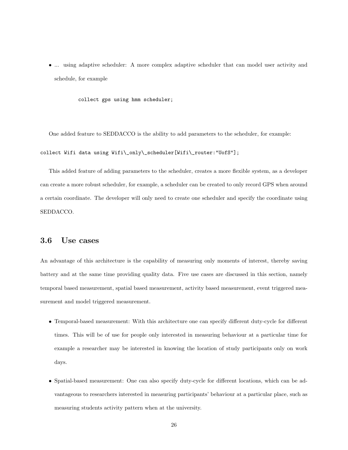using adaptive scheduler: A more complex adaptive scheduler that can model user activity and schedule, for example

collect gps using hmm scheduler;

One added feature to SEDDACCO is the ability to add parameters to the scheduler, for example: collect Wifi data using Wifi\\_only\\_scheduler[Wifi\\_router:"UofS"];

This added feature of adding parameters to the scheduler, creates a more flexible system, as a developer can create a more robust scheduler, for example, a scheduler can be created to only record GPS when around a certain coordinate. The developer will only need to create one scheduler and specify the coordinate using SEDDACCO.

### <span id="page-34-0"></span>3.6 Use cases

An advantage of this architecture is the capability of measuring only moments of interest, thereby saving battery and at the same time providing quality data. Five use cases are discussed in this section, namely temporal based measurement, spatial based measurement, activity based measurement, event triggered measurement and model triggered measurement.

- Temporal-based measurement: With this architecture one can specify different duty-cycle for different times. This will be of use for people only interested in measuring behaviour at a particular time for example a researcher may be interested in knowing the location of study participants only on work days.
- Spatial-based measurement: One can also specify duty-cycle for different locations, which can be advantageous to researchers interested in measuring participants' behaviour at a particular place, such as measuring students activity pattern when at the university.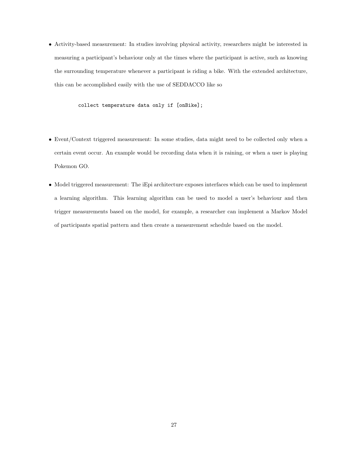• Activity-based measurement: In studies involving physical activity, researchers might be interested in measuring a participant's behaviour only at the times where the participant is active, such as knowing the surrounding temperature whenever a participant is riding a bike. With the extended architecture, this can be accomplished easily with the use of SEDDACCO like so

collect temperature data only if [onBike];

- Event/Context triggered measurement: In some studies, data might need to be collected only when a certain event occur. An example would be recording data when it is raining, or when a user is playing Pokemon GO.
- Model triggered measurement: The iEpi architecture exposes interfaces which can be used to implement a learning algorithm. This learning algorithm can be used to model a user's behaviour and then trigger measurements based on the model, for example, a researcher can implement a Markov Model of participants spatial pattern and then create a measurement schedule based on the model.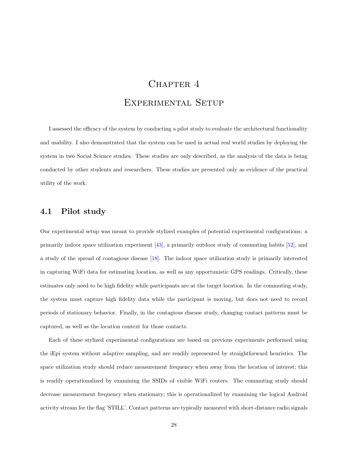# CHAPTER 4 Experimental Setup

<span id="page-36-0"></span>I assessed the efficacy of the system by conducting a pilot study to evaluate the architectural functionality and usability. I also demonstrated that the system can be used in actual real world studies by deploying the system in two Social Science studies. These studies are only described, as the analysis of the data is being conducted by other students and researchers. These studies are presented only as evidence of the practical utility of the work.

#### <span id="page-36-1"></span>4.1 Pilot study

Our experimental setup was meant to provide stylized examples of potential experimental configurations: a primarily indoor space utilization experiment [\[43\]](#page-63-15), a primarily outdoor study of commuting habits [\[52\]](#page-64-12), and a study of the spread of contagious disease [\[18\]](#page-62-0). The indoor space utilization study is primarily interested in capturing WiFi data for estimating location, as well as any opportunistic GPS readings. Critically, these estimates only need to be high fidelity while participants are at the target location. In the commuting study, the system must capture high fidelity data while the participant is moving, but does not need to record periods of stationary behavior. Finally, in the contagious disease study, changing contact patterns must be captured, as well as the location context for those contacts.

Each of these stylized experimental configurations are based on previous experiments performed using the iEpi system without adaptive sampling, and are readily represented by straightforward heuristics. The space utilization study should reduce measurement frequency when away from the location of interest; this is readily operationalized by examining the SSIDs of visible WiFi routers. The commuting study should decrease measurement frequency when stationary; this is operationalized by examining the logical Android activity stream for the flag 'STILL'. Contact patterns are typically measured with short-distance radio signals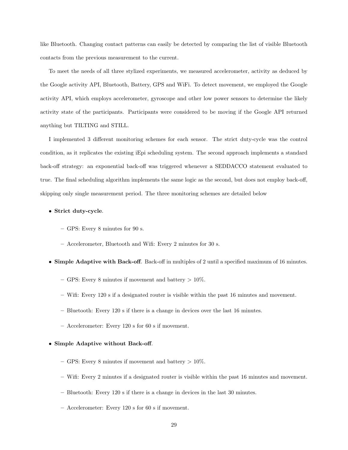like Bluetooth. Changing contact patterns can easily be detected by comparing the list of visible Bluetooth contacts from the previous measurement to the current.

To meet the needs of all three stylized experiments, we measured accelerometer, activity as deduced by the Google activity API, Bluetooth, Battery, GPS and WiFi. To detect movement, we employed the Google activity API, which employs accelerometer, gyroscope and other low power sensors to determine the likely activity state of the participants. Participants were considered to be moving if the Google API returned anything but TILTING and STILL.

I implemented 3 different monitoring schemes for each sensor. The strict duty-cycle was the control condition, as it replicates the existing iEpi scheduling system. The second approach implements a standard back-off strategy: an exponential back-off was triggered whenever a SEDDACCO statement evaluated to true. The final scheduling algorithm implements the same logic as the second, but does not employ back-off, skipping only single measurement period. The three monitoring schemes are detailed below

#### • Strict duty-cycle.

- GPS: Every 8 minutes for 90 s.
- Accelerometer, Bluetooth and Wifi: Every 2 minutes for 30 s.
- Simple Adaptive with Back-off. Back-off in multiples of 2 until a specified maximum of 16 minutes.
	- GPS: Every 8 minutes if movement and battery  $> 10\%$ .
	- Wifi: Every 120 s if a designated router is visible within the past 16 minutes and movement.
	- Bluetooth: Every 120 s if there is a change in devices over the last 16 minutes.
	- Accelerometer: Every 120 s for 60 s if movement.

#### • Simple Adaptive without Back-off.

- GPS: Every 8 minutes if movement and battery  $> 10\%$ .
- Wifi: Every 2 minutes if a designated router is visible within the past 16 minutes and movement.
- Bluetooth: Every 120 s if there is a change in devices in the last 30 minutes.
- Accelerometer: Every 120 s for 60 s if movement.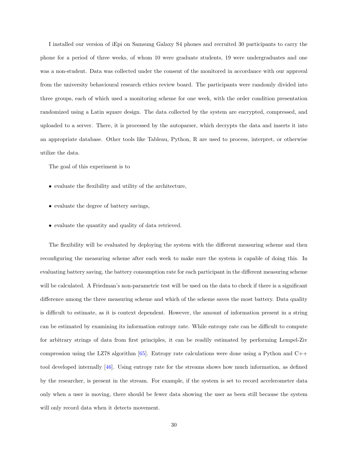I installed our version of iEpi on Samsung Galaxy S4 phones and recruited 30 participants to carry the phone for a period of three weeks, of whom 10 were graduate students, 19 were undergraduates and one was a non-student. Data was collected under the consent of the monitored in accordance with our approval from the university behavioural research ethics review board. The participants were randomly divided into three groups, each of which used a monitoring scheme for one week, with the order condition presentation randomized using a Latin square design. The data collected by the system are encrypted, compressed, and uploaded to a server. There, it is processed by the autoparser, which decrypts the data and inserts it into an appropriate database. Other tools like Tableau, Python, R are used to process, interpret, or otherwise utilize the data.

The goal of this experiment is to

- evaluate the flexibility and utility of the architecture,
- evaluate the degree of battery savings,
- evaluate the quantity and quality of data retrieved.

The flexibility will be evaluated by deploying the system with the different measuring scheme and then reconfiguring the measuring scheme after each week to make sure the system is capable of doing this. In evaluating battery saving, the battery consumption rate for each participant in the different measuring scheme will be calculated. A Friedman's non-parametric test will be used on the data to check if there is a significant difference among the three measuring scheme and which of the scheme saves the most battery. Data quality is difficult to estimate, as it is context dependent. However, the amount of information present in a string can be estimated by examining its information entropy rate. While entropy rate can be difficult to compute for arbitrary strings of data from first principles, it can be readily estimated by performing Lempel-Ziv compression using the LZ78 algorithm  $[65]$ . Entropy rate calculations were done using a Python and C++ tool developed internally [\[46\]](#page-63-13). Using entropy rate for the streams shows how much information, as defined by the researcher, is present in the stream. For example, if the system is set to record accelerometer data only when a user is moving, there should be fewer data showing the user as been still because the system will only record data when it detects movement.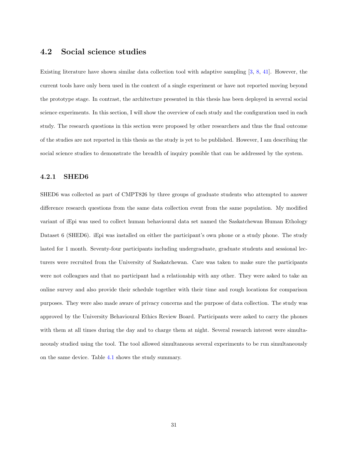#### <span id="page-39-0"></span>4.2 Social science studies

Existing literature have shown similar data collection tool with adaptive sampling [\[3,](#page-61-5) [8,](#page-61-6) [41\]](#page-63-12). However, the current tools have only been used in the context of a single experiment or have not reported moving beyond the prototype stage. In contrast, the architecture presented in this thesis has been deployed in several social science experiments. In this section, I will show the overview of each study and the configuration used in each study. The research questions in this section were proposed by other researchers and thus the final outcome of the studies are not reported in this thesis as the study is yet to be published. However, I am describing the social science studies to demonstrate the breadth of inquiry possible that can be addressed by the system.

#### <span id="page-39-1"></span>4.2.1 SHED6

SHED6 was collected as part of CMPT826 by three groups of graduate students who attempted to answer difference research questions from the same data collection event from the same population. My modified variant of iEpi was used to collect human behavioural data set named the Saskatchewan Human Ethology Dataset 6 (SHED6). iEpi was installed on either the participant's own phone or a study phone. The study lasted for 1 month. Seventy-four participants including undergraduate, graduate students and sessional lecturers were recruited from the University of Saskatchewan. Care was taken to make sure the participants were not colleagues and that no participant had a relationship with any other. They were asked to take an online survey and also provide their schedule together with their time and rough locations for comparison purposes. They were also made aware of privacy concerns and the purpose of data collection. The study was approved by the University Behavioural Ethics Review Board. Participants were asked to carry the phones with them at all times during the day and to charge them at night. Several research interest were simultaneously studied using the tool. The tool allowed simultaneous several experiments to be run simultaneously on the same device. Table [4.1](#page-40-0) shows the study summary.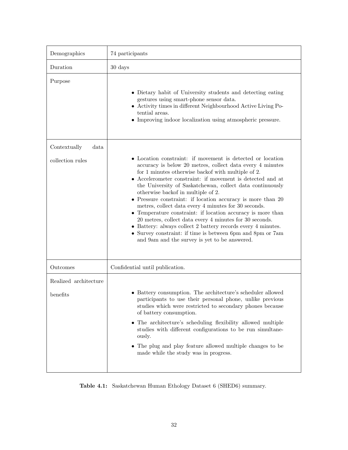<span id="page-40-0"></span>

| Demographics                             | 74 participants                                                                                                                                                                                                                                                                                                                                                                                                                                                                                                                                                                                                                                                                                                                                                                        |
|------------------------------------------|----------------------------------------------------------------------------------------------------------------------------------------------------------------------------------------------------------------------------------------------------------------------------------------------------------------------------------------------------------------------------------------------------------------------------------------------------------------------------------------------------------------------------------------------------------------------------------------------------------------------------------------------------------------------------------------------------------------------------------------------------------------------------------------|
| Duration                                 | 30 days                                                                                                                                                                                                                                                                                                                                                                                                                                                                                                                                                                                                                                                                                                                                                                                |
| Purpose                                  | • Dietary habit of University students and detecting eating<br>gestures using smart-phone sensor data.<br>• Activity times in different Neighbourhood Active Living Po-<br>tential areas.<br>• Improving indoor localization using atmospheric pressure.                                                                                                                                                                                                                                                                                                                                                                                                                                                                                                                               |
| Contextually<br>data<br>collection rules | • Location constraint: if movement is detected or location<br>accuracy is below 20 metres, collect data every 4 minutes<br>for 1 minutes otherwise backof with multiple of 2.<br>$\bullet$ Accelerometer constraint: if movement is detected and at<br>the University of Saskatchewan, collect data continuously<br>otherwise backof in multiple of 2.<br>• Pressure constraint: if location accuracy is more than 20<br>metres, collect data every 4 minutes for 30 seconds.<br>• Temperature constraint: if location accuracy is more than<br>20 metres, collect data every 4 minutes for 30 seconds.<br>• Battery: always collect 2 battery records every 4 minutes.<br>• Survey constraint: if time is between 6pm and 8pm or 7am<br>and 9am and the survey is yet to be answered. |
| Outcomes                                 | Confidential until publication.                                                                                                                                                                                                                                                                                                                                                                                                                                                                                                                                                                                                                                                                                                                                                        |
| Realized architecture<br>benefits        | • Battery consumption. The architecture's scheduler allowed<br>participants to use their personal phone, unlike previous<br>studies which were restricted to secondary phones because<br>of battery consumption.<br>• The architecture's scheduling flexibility allowed multiple<br>studies with different configurations to be run simultane-<br>ously.<br>• The plug and play feature allowed multiple changes to be<br>made while the study was in progress.                                                                                                                                                                                                                                                                                                                        |

Table 4.1: Saskatchewan Human Ethology Dataset 6 (SHED6) summary.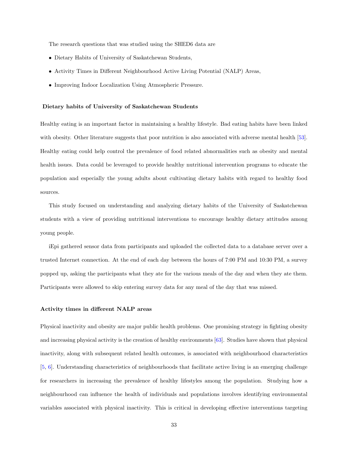The research questions that was studied using the SHED6 data are

- Dietary Habits of University of Saskatchewan Students,
- Activity Times in Different Neighbourhood Active Living Potential (NALP) Areas,
- Improving Indoor Localization Using Atmospheric Pressure.

#### Dietary habits of University of Saskatchewan Students

Healthy eating is an important factor in maintaining a healthy lifestyle. Bad eating habits have been linked with obesity. Other literature suggests that poor nutrition is also associated with adverse mental health [\[53\]](#page-64-14). Healthy eating could help control the prevalence of food related abnormalities such as obesity and mental health issues. Data could be leveraged to provide healthy nutritional intervention programs to educate the population and especially the young adults about cultivating dietary habits with regard to healthy food sources.

This study focused on understanding and analyzing dietary habits of the University of Saskatchewan students with a view of providing nutritional interventions to encourage healthy dietary attitudes among young people.

iEpi gathered sensor data from participants and uploaded the collected data to a database server over a trusted Internet connection. At the end of each day between the hours of 7:00 PM and 10:30 PM, a survey popped up, asking the participants what they ate for the various meals of the day and when they ate them. Participants were allowed to skip entering survey data for any meal of the day that was missed.

#### Activity times in different NALP areas

Physical inactivity and obesity are major public health problems. One promising strategy in fighting obesity and increasing physical activity is the creation of healthy environments [\[63\]](#page-64-15). Studies have shown that physical inactivity, along with subsequent related health outcomes, is associated with neighbourhood characteristics [\[5,](#page-61-8) [6\]](#page-61-9). Understanding characteristics of neighbourhoods that facilitate active living is an emerging challenge for researchers in increasing the prevalence of healthy lifestyles among the population. Studying how a neighbourhood can influence the health of individuals and populations involves identifying environmental variables associated with physical inactivity. This is critical in developing effective interventions targeting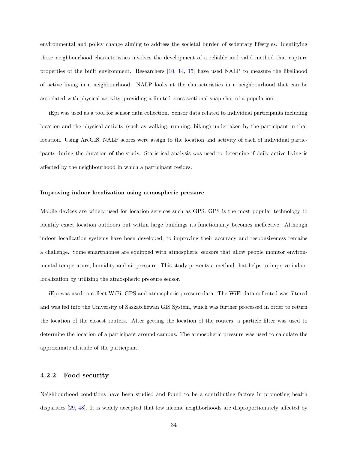environmental and policy change aiming to address the societal burden of sedentary lifestyles. Identifying those neighbourhood characteristics involves the development of a reliable and valid method that capture properties of the built environment. Researchers [\[10,](#page-61-10) [14,](#page-61-11) [15\]](#page-61-12) have used NALP to measure the likelihood of active living in a neighbourhood. NALP looks at the characteristics in a neighbourhood that can be associated with physical activity, providing a limited cross-sectional snap shot of a population.

iEpi was used as a tool for sensor data collection. Sensor data related to individual participants including location and the physical activity (such as walking, running, biking) undertaken by the participant in that location. Using ArcGIS, NALP scores were assign to the location and activity of each of individual participants during the duration of the study. Statistical analysis was used to determine if daily active living is affected by the neighbourhood in which a participant resides.

#### Improving indoor localization using atmospheric pressure

Mobile devices are widely used for location services such as GPS. GPS is the most popular technology to identify exact location outdoors but within large buildings its functionality becomes ineffective. Although indoor localization systems have been developed, to improving their accuracy and responsiveness remains a challenge. Some smartphones are equipped with atmospheric sensors that allow people monitor environmental temperature, humidity and air pressure. This study presents a method that helps to improve indoor localization by utilizing the atmospheric pressure sensor.

iEpi was used to collect WiFi, GPS and atmospheric pressure data. The WiFi data collected was filtered and was fed into the University of Saskatchewan GIS System, which was further processed in order to return the location of the closest routers. After getting the location of the routers, a particle filter was used to determine the location of a participant around campus. The atmospheric pressure was used to calculate the approximate altitude of the participant.

#### <span id="page-42-0"></span>4.2.2 Food security

Neighbourhood conditions have been studied and found to be a contributing factors in promoting health disparities [\[29,](#page-62-13) [48\]](#page-63-16). It is widely accepted that low income neighborhoods are disproportionately affected by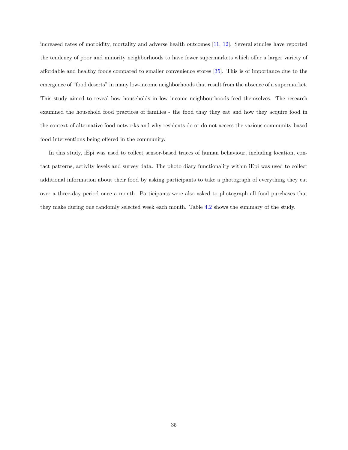increased rates of morbidity, mortality and adverse health outcomes [\[11,](#page-61-13) [12\]](#page-61-14). Several studies have reported the tendency of poor and minority neighborhoods to have fewer supermarkets which offer a larger variety of affordable and healthy foods compared to smaller convenience stores [\[35\]](#page-63-17). This is of importance due to the emergence of "food deserts" in many low-income neighborhoods that result from the absence of a supermarket. This study aimed to reveal how households in low income neighbourhoods feed themselves. The research examined the household food practices of families - the food thay they eat and how they acquire food in the context of alternative food networks and why residents do or do not access the various community-based food interventions being offered in the community.

In this study, iEpi was used to collect sensor-based traces of human behaviour, including location, contact patterns, activity levels and survey data. The photo diary functionality within iEpi was used to collect additional information about their food by asking participants to take a photograph of everything they eat over a three-day period once a month. Participants were also asked to photograph all food purchases that they make during one randomly selected week each month. Table [4.2](#page-44-0) shows the summary of the study.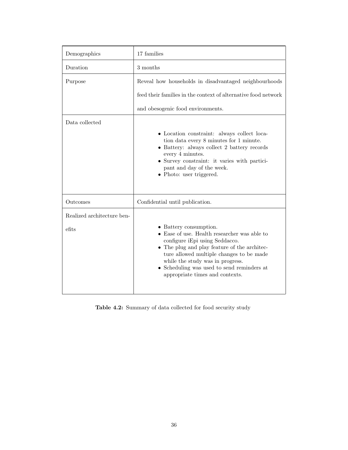<span id="page-44-0"></span>

| Demographics                        | 17 families                                                                                                                                                                                                                                                                                                                     |  |
|-------------------------------------|---------------------------------------------------------------------------------------------------------------------------------------------------------------------------------------------------------------------------------------------------------------------------------------------------------------------------------|--|
| Duration                            | 3 months                                                                                                                                                                                                                                                                                                                        |  |
| Purpose                             | Reveal how households in disadvantaged neighbourhoods                                                                                                                                                                                                                                                                           |  |
|                                     | feed their families in the context of alternative food network                                                                                                                                                                                                                                                                  |  |
|                                     | and obesogenic food environments.                                                                                                                                                                                                                                                                                               |  |
| Data collected                      | • Location constraint: always collect loca-<br>tion data every 8 minutes for 1 minute.<br>• Battery: always collect 2 battery records<br>every 4 minutes.<br>• Survey constraint: it varies with partici-<br>pant and day of the week.<br>• Photo: user triggered.                                                              |  |
| Outcomes                            | Confidential until publication.                                                                                                                                                                                                                                                                                                 |  |
| Realized architecture ben-<br>efits | • Battery consumption.<br>$\bullet$ Ease of use. Health researcher was able to<br>configure iEpi using Seddacco.<br>• The plug and play feature of the architec-<br>ture allowed multiple changes to be made<br>while the study was in progress.<br>Scheduling was used to send reminders at<br>appropriate times and contexts. |  |

Table 4.2: Summary of data collected for food security study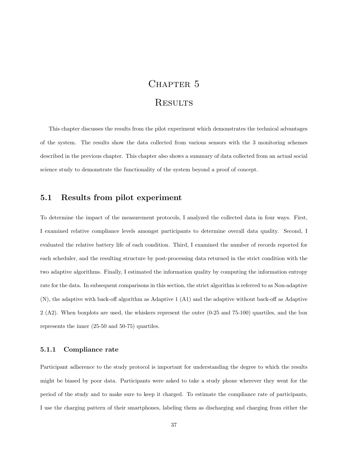# CHAPTER 5

# **RESULTS**

<span id="page-45-0"></span>This chapter discusses the results from the pilot experiment which demonstrates the technical advantages of the system. The results show the data collected from various sensors with the 3 monitoring schemes described in the previous chapter. This chapter also shows a summary of data collected from an actual social science study to demonstrate the functionality of the system beyond a proof of concept.

### <span id="page-45-1"></span>5.1 Results from pilot experiment

To determine the impact of the measurement protocols, I analyzed the collected data in four ways. First, I examined relative compliance levels amongst participants to determine overall data quality. Second, I evaluated the relative battery life of each condition. Third, I examined the number of records reported for each scheduler, and the resulting structure by post-processing data returned in the strict condition with the two adaptive algorithms. Finally, I estimated the information quality by computing the information entropy rate for the data. In subsequent comparisons in this section, the strict algorithm is referred to as Non-adaptive (N), the adaptive with back-off algorithm as Adaptive 1 (A1) and the adaptive without back-off as Adaptive 2 (A2). When boxplots are used, the whiskers represent the outer (0-25 and 75-100) quartiles, and the box represents the inner (25-50 and 50-75) quartiles.

#### <span id="page-45-2"></span>5.1.1 Compliance rate

Participant adherence to the study protocol is important for understanding the degree to which the results might be biased by poor data. Participants were asked to take a study phone wherever they went for the period of the study and to make sure to keep it charged. To estimate the compliance rate of participants, I use the charging pattern of their smartphones, labeling them as discharging and charging from either the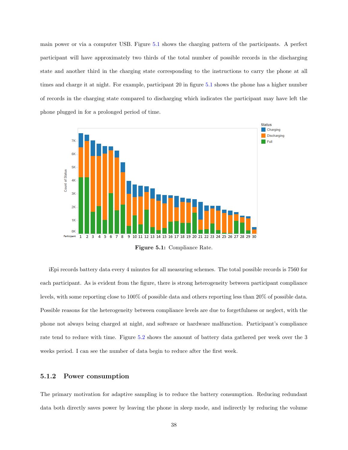main power or via a computer USB. Figure [5.1](#page-46-1) shows the charging pattern of the participants. A perfect participant will have approximately two thirds of the total number of possible records in the discharging state and another third in the charging state corresponding to the instructions to carry the phone at all times and charge it at night. For example, participant 20 in figure [5.1](#page-46-1) shows the phone has a higher number of records in the charging state compared to discharging which indicates the participant may have left the phone plugged in for a prolonged period of time.

<span id="page-46-1"></span>![](_page_46_Figure_1.jpeg)

Figure 5.1: Compliance Rate.

iEpi records battery data every 4 minutes for all measuring schemes. The total possible records is 7560 for each participant. As is evident from the figure, there is strong heterogeneity between participant compliance levels, with some reporting close to 100% of possible data and others reporting less than 20% of possible data. Possible reasons for the heterogeneity between compliance levels are due to forgetfulness or neglect, with the phone not always being charged at night, and software or hardware malfunction. Participant's compliance rate tend to reduce with time. Figure [5.2](#page-47-1) shows the amount of battery data gathered per week over the 3 weeks period. I can see the number of data begin to reduce after the first week.

#### <span id="page-46-0"></span>5.1.2 Power consumption

The primary motivation for adaptive sampling is to reduce the battery consumption. Reducing redundant data both directly saves power by leaving the phone in sleep mode, and indirectly by reducing the volume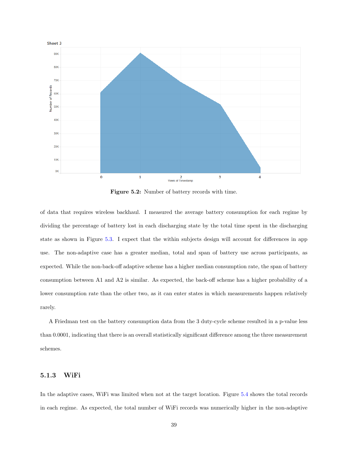<span id="page-47-1"></span>![](_page_47_Figure_0.jpeg)

Figure 5.2: Number of battery records with time.

of data that requires wireless backhaul. I measured the average battery consumption for each regime by dividing the percentage of battery lost in each discharging state by the total time spent in the discharging state as shown in Figure [5.3.](#page-48-0) I expect that the within subjects design will account for differences in app use. The non-adaptive case has a greater median, total and span of battery use across participants, as expected. While the non-back-off adaptive scheme has a higher median consumption rate, the span of battery consumption between A1 and A2 is similar. As expected, the back-off scheme has a higher probability of a lower consumption rate than the other two, as it can enter states in which measurements happen relatively rarely.

A Friedman test on the battery consumption data from the 3 duty-cycle scheme resulted in a p-value less than 0.0001, indicating that there is an overall statistically significant difference among the three measurement schemes.

#### <span id="page-47-0"></span>5.1.3 WiFi

In the adaptive cases, WiFi was limited when not at the target location. Figure [5.4](#page-49-1) shows the total records in each regime. As expected, the total number of WiFi records was numerically higher in the non-adaptive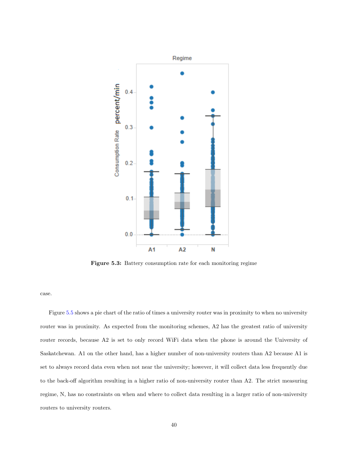<span id="page-48-0"></span>![](_page_48_Figure_0.jpeg)

Figure 5.3: Battery consumption rate for each monitoring regime

case.

Figure [5.5](#page-50-1) shows a pie chart of the ratio of times a university router was in proximity to when no university router was in proximity. As expected from the monitoring schemes, A2 has the greatest ratio of university router records, because A2 is set to only record WiFi data when the phone is around the University of Saskatchewan. A1 on the other hand, has a higher number of non-university routers than A2 because A1 is set to always record data even when not near the university; however, it will collect data less frequently due to the back-off algorithm resulting in a higher ratio of non-university router than A2. The strict measuring regime, N, has no constraints on when and where to collect data resulting in a larger ratio of non-university routers to university routers.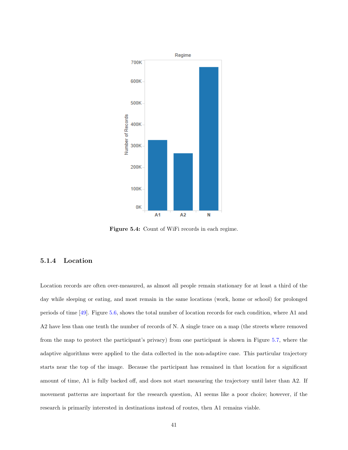<span id="page-49-1"></span>![](_page_49_Figure_0.jpeg)

Figure 5.4: Count of WiFi records in each regime.

#### <span id="page-49-0"></span>5.1.4 Location

Location records are often over-measured, as almost all people remain stationary for at least a third of the day while sleeping or eating, and most remain in the same locations (work, home or school) for prolonged periods of time [\[49\]](#page-64-16). Figure [5.6,](#page-51-0) shows the total number of location records for each condition, where A1 and A2 have less than one tenth the number of records of N. A single trace on a map (the streets where removed from the map to protect the participant's privacy) from one participant is shown in Figure [5.7,](#page-51-1) where the adaptive algorithms were applied to the data collected in the non-adaptive case. This particular trajectory starts near the top of the image. Because the participant has remained in that location for a significant amount of time, A1 is fully backed off, and does not start measuring the trajectory until later than A2. If movement patterns are important for the research question, A1 seems like a poor choice; however, if the research is primarily interested in destinations instead of routes, then A1 remains viable.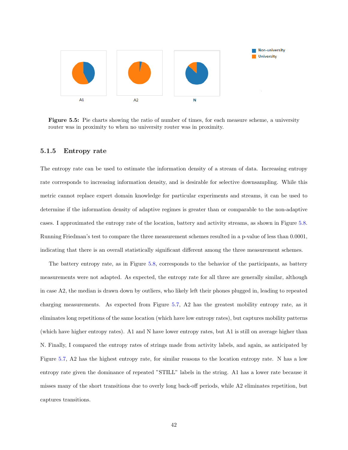<span id="page-50-1"></span>![](_page_50_Figure_0.jpeg)

Figure 5.5: Pie charts showing the ratio of number of times, for each measure scheme, a university router was in proximity to when no university router was in proximity.

#### <span id="page-50-0"></span>5.1.5 Entropy rate

The entropy rate can be used to estimate the information density of a stream of data. Increasing entropy rate corresponds to increasing information density, and is desirable for selective downsampling. While this metric cannot replace expert domain knowledge for particular experiments and streams, it can be used to determine if the information density of adaptive regimes is greater than or comparable to the non-adaptive cases. I approximated the entropy rate of the location, battery and activity streams, as shown in Figure [5.8.](#page-52-0) Running Friedman's test to compare the three measurement schemes resulted in a p-value of less than 0.0001, indicating that there is an overall statistically significant different among the three measurement schemes.

The battery entropy rate, as in Figure [5.8,](#page-52-0) corresponds to the behavior of the participants, as battery measurements were not adapted. As expected, the entropy rate for all three are generally similar, although in case A2, the median is drawn down by outliers, who likely left their phones plugged in, leading to repeated charging measurements. As expected from Figure [5.7,](#page-51-1) A2 has the greatest mobility entropy rate, as it eliminates long repetitions of the same location (which have low entropy rates), but captures mobility patterns (which have higher entropy rates). A1 and N have lower entropy rates, but A1 is still on average higher than N. Finally, I compared the entropy rates of strings made from activity labels, and again, as anticipated by Figure [5.7,](#page-51-1) A2 has the highest entropy rate, for similar reasons to the location entropy rate. N has a low entropy rate given the dominance of repeated "STILL" labels in the string. A1 has a lower rate because it misses many of the short transitions due to overly long back-off periods, while A2 eliminates repetition, but captures transitions.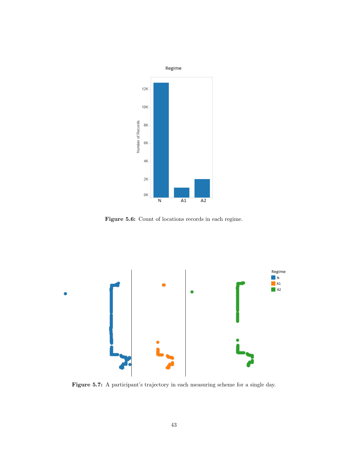<span id="page-51-0"></span>![](_page_51_Figure_0.jpeg)

Figure 5.6: Count of locations records in each regime.

<span id="page-51-1"></span>![](_page_51_Figure_2.jpeg)

Figure 5.7: A participant's trajectory in each measuring scheme for a single day.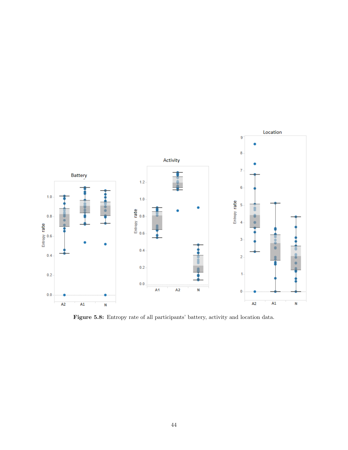<span id="page-52-0"></span>![](_page_52_Figure_0.jpeg)

Figure 5.8: Entropy rate of all participants' battery, activity and location data.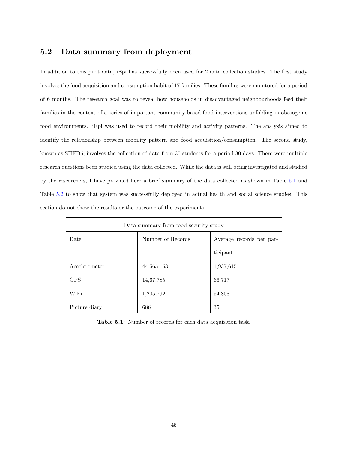# <span id="page-53-0"></span>5.2 Data summary from deployment

In addition to this pilot data, iEpi has successfully been used for 2 data collection studies. The first study involves the food acquisition and consumption habit of 17 families. These families were monitored for a period of 6 months. The research goal was to reveal how households in disadvantaged neighbourhoods feed their families in the context of a series of important community-based food interventions unfolding in obesogenic food environments. iEpi was used to record their mobility and activity patterns. The analysis aimed to identify the relationship between mobility pattern and food acquisition/consumption. The second study, known as SHED6, involves the collection of data from 30 students for a period 30 days. There were multiple research questions been studied using the data collected. While the data is still being investigated and studied by the researchers, I have provided here a brief summary of the data collected as shown in Table [5.1](#page-53-1) and Table [5.2](#page-54-0) to show that system was successfully deployed in actual health and social science studies. This section do not show the results or the outcome of the experiments.

<span id="page-53-1"></span>

| Data summary from food security study |                   |                          |  |
|---------------------------------------|-------------------|--------------------------|--|
| Date                                  | Number of Records | Average records per par- |  |
|                                       |                   | ticipant                 |  |
| Accelerometer                         | 44,565,153        | 1,937,615                |  |
| <b>GPS</b>                            | 14,67,785         | 66,717                   |  |
| WiFi                                  | 1,205,792         | 54,808                   |  |
| Picture diary                         | 686               | 35                       |  |

Table 5.1: Number of records for each data acquisition task.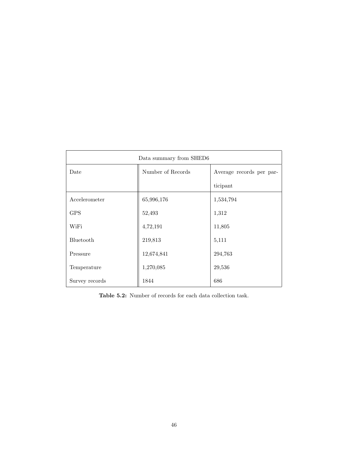<span id="page-54-0"></span>

| Data summary from SHED6 |                   |                          |  |
|-------------------------|-------------------|--------------------------|--|
| Date                    | Number of Records | Average records per par- |  |
|                         |                   | ticipant                 |  |
| Accelerometer           | 65,996,176        | 1,534,794                |  |
| <b>GPS</b>              | 52,493            | 1,312                    |  |
| WiFi                    | 4,72,191          | 11,805                   |  |
| Bluetooth               | 219,813           | 5,111                    |  |
| Pressure                | 12,674,841        | 294,763                  |  |
| Temperature             | 1,270,085         | 29,536                   |  |
| Survey records          | 1844              | 686                      |  |

Table 5.2: Number of records for each data collection task.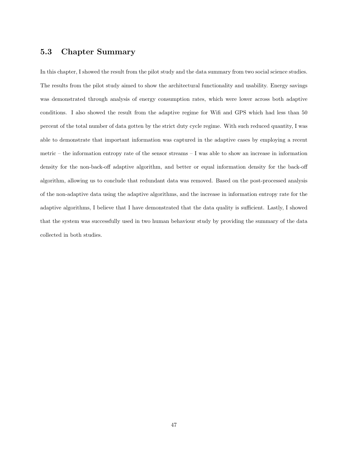# <span id="page-55-0"></span>5.3 Chapter Summary

In this chapter, I showed the result from the pilot study and the data summary from two social science studies. The results from the pilot study aimed to show the architectural functionality and usability. Energy savings was demonstrated through analysis of energy consumption rates, which were lower across both adaptive conditions. I also showed the result from the adaptive regime for Wifi and GPS which had less than 50 percent of the total number of data gotten by the strict duty cycle regime. With such reduced quantity, I was able to demonstrate that important information was captured in the adaptive cases by employing a recent metric – the information entropy rate of the sensor streams – I was able to show an increase in information density for the non-back-off adaptive algorithm, and better or equal information density for the back-off algorithm, allowing us to conclude that redundant data was removed. Based on the post-processed analysis of the non-adaptive data using the adaptive algorithms, and the increase in information entropy rate for the adaptive algorithms, I believe that I have demonstrated that the data quality is sufficient. Lastly, I showed that the system was successfully used in two human behaviour study by providing the summary of the data collected in both studies.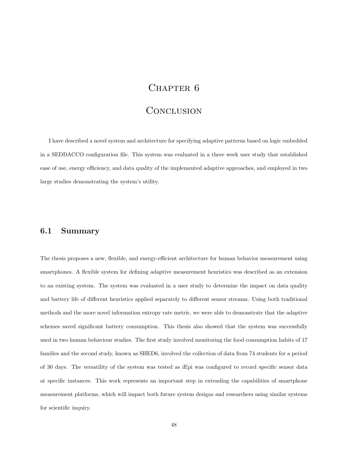# CHAPTER 6

# Conclusion

<span id="page-56-0"></span>I have described a novel system and architecture for specifying adaptive patterns based on logic embedded in a SEDDACCO configuration file. This system was evaluated in a three week user study that established ease of use, energy efficiency, and data quality of the implemented adaptive approaches, and employed in two large studies demonstrating the system's utility.

#### <span id="page-56-1"></span>6.1 Summary

The thesis proposes a new, flexible, and energy-efficient architecture for human behavior measurement using smartphones. A flexible system for defining adaptive measurement heuristics was described as an extension to an existing system. The system was evaluated in a user study to determine the impact on data quality and battery life of different heuristics applied separately to different sensor streams. Using both traditional methods and the more novel information entropy rate metric, we were able to demonstrate that the adaptive schemes saved significant battery consumption. This thesis also showed that the system was successfully used in two human behaviour studies. The first study involved monitoring the food consumption habits of 17 families and the second study, known as SHED6, involved the collection of data from 74 students for a period of 30 days. The versatility of the system was tested as iEpi was configured to record specific sensor data at specific instances. This work represents an important step in extending the capabilities of smartphone measurement platforms, which will impact both future system designs and researchers using similar systems for scientific inquiry.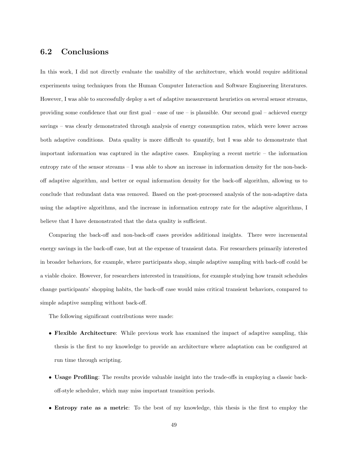# <span id="page-57-0"></span>6.2 Conclusions

In this work, I did not directly evaluate the usability of the architecture, which would require additional experiments using techniques from the Human Computer Interaction and Software Engineering literatures. However, I was able to successfully deploy a set of adaptive measurement heuristics on several sensor streams, providing some confidence that our first goal – ease of use – is plausible. Our second goal – achieved energy savings – was clearly demonstrated through analysis of energy consumption rates, which were lower across both adaptive conditions. Data quality is more difficult to quantify, but I was able to demonstrate that important information was captured in the adaptive cases. Employing a recent metric – the information entropy rate of the sensor streams – I was able to show an increase in information density for the non-backoff adaptive algorithm, and better or equal information density for the back-off algorithm, allowing us to conclude that redundant data was removed. Based on the post-processed analysis of the non-adaptive data using the adaptive algorithms, and the increase in information entropy rate for the adaptive algorithms, I believe that I have demonstrated that the data quality is sufficient.

Comparing the back-off and non-back-off cases provides additional insights. There were incremental energy savings in the back-off case, but at the expense of transient data. For researchers primarily interested in broader behaviors, for example, where participants shop, simple adaptive sampling with back-off could be a viable choice. However, for researchers interested in transitions, for example studying how transit schedules change participants' shopping habits, the back-off case would miss critical transient behaviors, compared to simple adaptive sampling without back-off.

The following significant contributions were made:

- Flexible Architecture: While previous work has examined the impact of adaptive sampling, this thesis is the first to my knowledge to provide an architecture where adaptation can be configured at run time through scripting.
- Usage Profiling: The results provide valuable insight into the trade-offs in employing a classic backoff-style scheduler, which may miss important transition periods.
- Entropy rate as a metric: To the best of my knowledge, this thesis is the first to employ the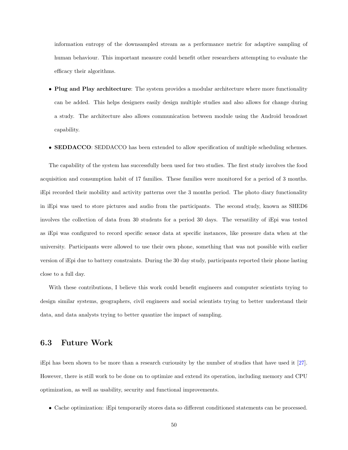information entropy of the downsampled stream as a performance metric for adaptive sampling of human behaviour. This important measure could benefit other researchers attempting to evaluate the efficacy their algorithms.

- Plug and Play architecture: The system provides a modular architecture where more functionality can be added. This helps designers easily design multiple studies and also allows for change during a study. The architecture also allows communication between module using the Android broadcast capability.
- **SEDDACCO**: SEDDACCO has been extended to allow specification of multiple scheduling schemes.

The capability of the system has successfully been used for two studies. The first study involves the food acquisition and consumption habit of 17 families. These families were monitored for a period of 3 months. iEpi recorded their mobility and activity patterns over the 3 months period. The photo diary functionality in iEpi was used to store pictures and audio from the participants. The second study, known as SHED6 involves the collection of data from 30 students for a period 30 days. The versatility of iEpi was tested as iEpi was configured to record specific sensor data at specific instances, like pressure data when at the university. Participants were allowed to use their own phone, something that was not possible with earlier version of iEpi due to battery constraints. During the 30 day study, participants reported their phone lasting close to a full day.

With these contributions, I believe this work could benefit engineers and computer scientists trying to design similar systems, geographers, civil engineers and social scientists trying to better understand their data, and data analysts trying to better quantize the impact of sampling.

#### <span id="page-58-0"></span>6.3 Future Work

iEpi has been shown to be more than a research curiousity by the number of studies that have used it [\[27\]](#page-62-4). However, there is still work to be done on to optimize and extend its operation, including memory and CPU optimization, as well as usability, security and functional improvements.

• Cache optimization: iEpi temporarily stores data so different conditioned statements can be processed.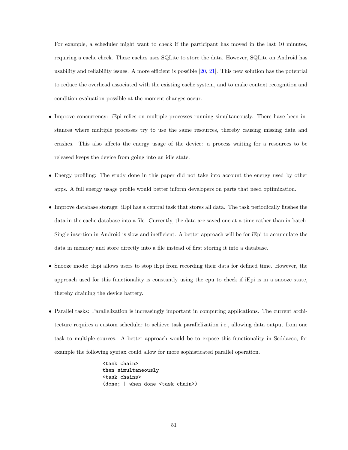For example, a scheduler might want to check if the participant has moved in the last 10 minutes, requiring a cache check. These caches uses SQLite to store the data. However, SQLite on Android has usability and reliability issues. A more efficient is possible [\[20,](#page-62-14) [21\]](#page-62-8). This new solution has the potential to reduce the overhead associated with the existing cache system, and to make context recognition and condition evaluation possible at the moment changes occur.

- Improve concurrency: iEpi relies on multiple processes running simultaneously. There have been instances where multiple processes try to use the same resources, thereby causing missing data and crashes. This also affects the energy usage of the device: a process waiting for a resources to be released keeps the device from going into an idle state.
- Energy profiling: The study done in this paper did not take into account the energy used by other apps. A full energy usage profile would better inform developers on parts that need optimization.
- Improve database storage: iEpi has a central task that stores all data. The task periodically flushes the data in the cache database into a file. Currently, the data are saved one at a time rather than in batch. Single insertion in Android is slow and inefficient. A better approach will be for iEpi to accumulate the data in memory and store directly into a file instead of first storing it into a database.
- Snooze mode: iEpi allows users to stop iEpi from recording their data for defined time. However, the approach used for this functionality is constantly using the cpu to check if iEpi is in a snooze state, thereby draining the device battery.
- Parallel tasks: Parallelization is increasingly important in computing applications. The current architecture requires a custom scheduler to achieve task parallelization i.e., allowing data output from one task to multiple sources. A better approach would be to expose this functionality in Seddacco, for example the following syntax could allow for more sophisticated parallel operation.

<task chain> then simultaneously <task chains> (done; | when done <task chain>)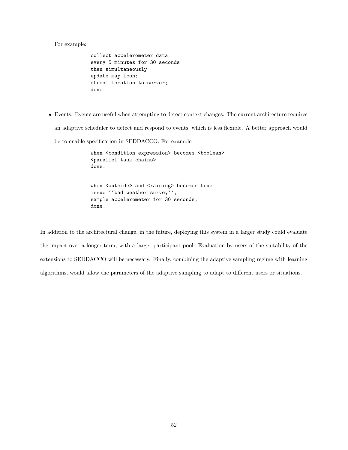For example:

```
collect accelerometer data
every 5 minutes for 30 seconds
then simultaneously
update map icon;
stream location to server;
done.
```
• Events: Events are useful when attempting to detect context changes. The current architecture requires an adaptive scheduler to detect and respond to events, which is less flexible. A better approach would be to enable specification in SEDDACCO. For example

> when <condition expression> becomes <br/>boolean> <parallel task chains> done. when <outside> and <raining> becomes true issue ''bad weather survey''; sample accelerometer for 30 seconds; done.

In addition to the architectural change, in the future, deploying this system in a larger study could evaluate the impact over a longer term, with a larger participant pool. Evaluation by users of the suitability of the extensions to SEDDACCO will be necessary. Finally, combining the adaptive sampling regime with learning algorithms, would allow the parameters of the adaptive sampling to adapt to different users or situations.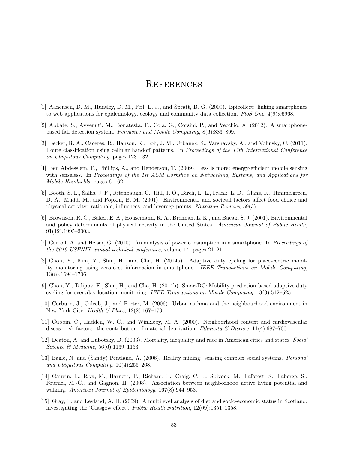# **REFERENCES**

- <span id="page-61-2"></span>[1] Aanensen, D. M., Huntley, D. M., Feil, E. J., and Spratt, B. G. (2009). Epicollect: linking smartphones to web applications for epidemiology, ecology and community data collection. PloS One,  $4(9)$ :e6968.
- <span id="page-61-1"></span>[2] Abbate, S., Avvenuti, M., Bonatesta, F., Cola, G., Corsini, P., and Vecchio, A. (2012). A smartphonebased fall detection system. Pervasive and Mobile Computing, 8(6):883–899.
- <span id="page-61-5"></span>[3] Becker, R. A., Caceres, R., Hanson, K., Loh, J. M., Urbanek, S., Varshavsky, A., and Volinsky, C. (2011). Route classification using cellular handoff patterns. In Proceedings of the 13th International Conference on Ubiquitous Computing, pages 123–132.
- <span id="page-61-7"></span>[4] Ben Abdesslem, F., Phillips, A., and Henderson, T. (2009). Less is more: energy-efficient mobile sensing with senseless. In Proceedings of the 1st ACM workshop on Networking, Systems, and Applications for Mobile Handhelds, pages 61–62.
- <span id="page-61-8"></span>[5] Booth, S. L., Sallis, J. F., Ritenbaugh, C., Hill, J. O., Birch, L. L., Frank, L. D., Glanz, K., Himmelgreen, D. A., Mudd, M., and Popkin, B. M. (2001). Environmental and societal factors affect food choice and physical activity: rationale, influences, and leverage points. Nutrition Reviews, 59(3).
- <span id="page-61-9"></span>[6] Brownson, R. C., Baker, E. A., Housemann, R. A., Brennan, L. K., and Bacak, S. J. (2001). Environmental and policy determinants of physical activity in the United States. American Journal of Public Health, 91(12):1995–2003.
- <span id="page-61-4"></span>[7] Carroll, A. and Heiser, G. (2010). An analysis of power consumption in a smartphone. In Proceedings of the 2010 USENIX annual technical conference, volume 14, pages 21–21.
- <span id="page-61-6"></span>[8] Chon, Y., Kim, Y., Shin, H., and Cha, H. (2014a). Adaptive duty cycling for place-centric mobility monitoring using zero-cost information in smartphone. IEEE Transactions on Mobile Computing, 13(8):1694–1706.
- <span id="page-61-3"></span>[9] Chon, Y., Talipov, E., Shin, H., and Cha, H. (2014b). SmartDC: Mobility prediction-based adaptive duty cycling for everyday location monitoring. IEEE Transactions on Mobile Computing, 13(3):512–525.
- <span id="page-61-10"></span>[10] Corburn, J., Osleeb, J., and Porter, M. (2006). Urban asthma and the neighbourhood environment in New York City. Health & Place, 12(2):167–179.
- <span id="page-61-13"></span>[11] Cubbin, C., Hadden, W. C., and Winkleby, M. A. (2000). Neighborhood context and cardiovascular disease risk factors: the contribution of material deprivation. Ethnicity & Disease,  $11(4)$ :687–700.
- <span id="page-61-14"></span>[12] Deaton, A. and Lubotsky, D. (2003). Mortality, inequality and race in American cities and states. Social Science & Medicine, 56(6):1139–1153.
- <span id="page-61-0"></span>[13] Eagle, N. and (Sandy) Pentland, A. (2006). Reality mining: sensing complex social systems. Personal and Ubiquitous Computing, 10(4):255–268.
- <span id="page-61-11"></span>[14] Gauvin, L., Riva, M., Barnett, T., Richard, L., Craig, C. L., Spivock, M., Laforest, S., Laberge, S., Fournel, M.-C., and Gagnon, H. (2008). Association between neighborhood active living potential and walking. American Journal of Epidemiology, 167(8):944–953.
- <span id="page-61-12"></span>[15] Gray, L. and Leyland, A. H. (2009). A multilevel analysis of diet and socio-economic status in Scotland: investigating the 'Glasgow effect'. Public Health Nutrition, 12(09):1351–1358.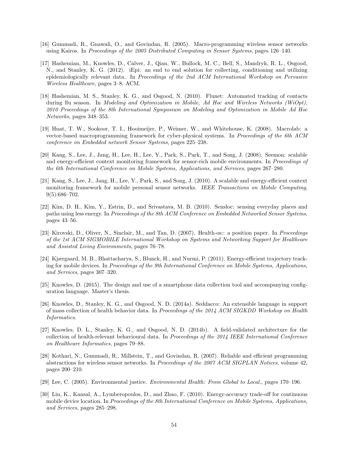- <span id="page-62-5"></span>[16] Gummadi, R., Gnawali, O., and Govindan, R. (2005). Macro-programming wireless sensor networks using Kairos. In Proceedings of the 2005 Distributed Computing in Sensor Systems, pages 126–140.
- <span id="page-62-1"></span>[17] Hashemian, M., Knowles, D., Calver, J., Qian, W., Bullock, M. C., Bell, S., Mandryk, R. L., Osgood, N., and Stanley, K. G. (2012). iEpi: an end to end solution for collecting, conditioning and utilizing epidemiologically relevant data. In Proceedings of the 2nd ACM International Workshop on Pervasive Wireless Healthcare, pages 3–8. ACM.
- <span id="page-62-0"></span>[18] Hashemian, M. S., Stanley, K. G., and Osgood, N. (2010). Flunet: Automated tracking of contacts during flu season. In Modeling and Optimization in Mobile, Ad Hoc and Wireless Networks (WiOpt), 2010 Proceedings of the 8th International Symposium on Modeling and Optimization in Mobile Ad Hoc Networks, pages 348–353.
- <span id="page-62-7"></span>[19] Hnat, T. W., Sookoor, T. I., Hooimeijer, P., Weimer, W., and Whitehouse, K. (2008). Macrolab: a vector-based macroprogramming framework for cyber-physical systems. In Proceedings of the 6th ACM conference on Embedded network Sensor Systems, pages 225–238.
- <span id="page-62-14"></span>[20] Kang, S., Lee, J., Jang, H., Lee, H., Lee, Y., Park, S., Park, T., and Song, J. (2008). Seemon: scalable and energy-efficient context monitoring framework for sensor-rich mobile environments. In Proceedings of the 6th International Conference on Mobile Systems, Applications, and Services, pages 267–280.
- <span id="page-62-8"></span>[21] Kang, S., Lee, J., Jang, H., Lee, Y., Park, S., and Song, J. (2010). A scalable and energy-efficient context monitoring framework for mobile personal sensor networks. IEEE Transactions on Mobile Computing, 9(5):686–702.
- <span id="page-62-2"></span>[22] Kim, D. H., Kim, Y., Estrin, D., and Srivastava, M. B. (2010). Sensloc: sensing everyday places and paths using less energy. In Proceedings of the 8th ACM Conference on Embedded Networked Sensor Systems, pages 43–56.
- <span id="page-62-9"></span>[23] Kirovski, D., Oliver, N., Sinclair, M., and Tan, D. (2007). Health-os:: a position paper. In Proceedings of the 1st ACM SIGMOBILE International Workshop on Systems and Networking Support for Healthcare and Assisted Living Environments, pages 76–78.
- <span id="page-62-11"></span>[24] Kjærgaard, M. B., Bhattacharya, S., Blunck, H., and Nurmi, P. (2011). Energy-efficient trajectory tracking for mobile devices. In Proceedings of the 9th International Conference on Mobile Systems, Applications, and Services, pages 307–320.
- <span id="page-62-12"></span>[25] Knowles, D. (2015). The design and use of a smartphone data collection tool and accompanying configuration language. Master's thesis.
- <span id="page-62-3"></span>[26] Knowles, D., Stanley, K. G., and Osgood, N. D. (2014a). Seddacco: An extensible language in support of mass collection of health behavior data. In Proceedings of the 2014 ACM SIGKDD Workshop on Health Informatics.
- <span id="page-62-4"></span>[27] Knowles, D. L., Stanley, K. G., and Osgood, N. D. (2014b). A field-validated architecture for the collection of health-relevant behavioural data. In Proceedings of the 2014 IEEE International Conference on Healthcare Informatics, pages 79–88.
- <span id="page-62-6"></span>[28] Kothari, N., Gummadi, R., Millstein, T., and Govindan, R. (2007). Reliable and efficient programming abstractions for wireless sensor networks. In Proceedings of the 2007 ACM SIGPLAN Notices, volume 42, pages 200–210.
- <span id="page-62-13"></span>[29] Lee, C. (2005). Environmental justice. Environmental Health: From Global to Local., pages 170–196.
- <span id="page-62-10"></span>[30] Lin, K., Kansal, A., Lymberopoulos, D., and Zhao, F. (2010). Energy-accuracy trade-off for continuous mobile device location. In Proceedings of the 8th International Conference on Mobile Systems, Applications, and Services, pages 285–298.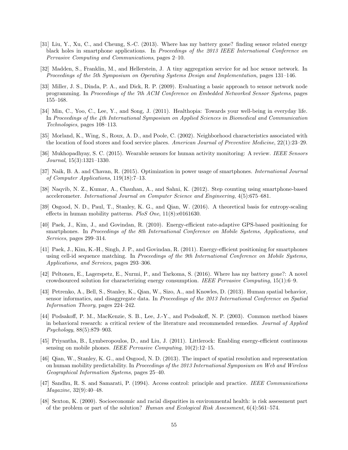- <span id="page-63-10"></span>[31] Liu, Y., Xu, C., and Cheung, S.-C. (2013). Where has my battery gone? finding sensor related energy black holes in smartphone applications. In Proceedings of the 2013 IEEE International Conference on Pervasive Computing and Communications, pages 2–10.
- <span id="page-63-6"></span>[32] Madden, S., Franklin, M., and Hellerstein, J. A tiny aggregation service for ad hoc sensor network. In Proceedings of the 5th Symposium on Operating Systems Design and Implementation, pages 131–146.
- <span id="page-63-5"></span>[33] Miller, J. S., Dinda, P. A., and Dick, R. P. (2009). Evaluating a basic approach to sensor network node programming. In Proceedings of the 7th ACM Conference on Embedded Networked Sensor Systems, pages 155–168.
- <span id="page-63-7"></span>[34] Min, C., Yoo, C., Lee, Y., and Song, J. (2011). Healthopia: Towards your well-being in everyday life. In Proceedings of the 4th International Symposium on Applied Sciences in Biomedical and Communication Technologies, pages 108–113.
- <span id="page-63-17"></span>[35] Morland, K., Wing, S., Roux, A. D., and Poole, C. (2002). Neighborhood characteristics associated with the location of food stores and food service places. American Journal of Preventive Medicine, 22(1):23–29.
- <span id="page-63-2"></span>[36] Mukhopadhyay, S. C. (2015). Wearable sensors for human activity monitoring: A review. IEEE Sensors Journal, 15(3):1321–1330.
- <span id="page-63-9"></span>[37] Naik, B. A. and Chavan, R. (2015). Optimization in power usage of smartphones. International Journal of Computer Applications, 119(18):7–13.
- <span id="page-63-1"></span>[38] Naqvib, N. Z., Kumar, A., Chauhan, A., and Sahni, K. (2012). Step counting using smartphone-based accelerometer. International Journal on Computer Science and Engineering, 4(5):675–681.
- <span id="page-63-14"></span>[39] Osgood, N. D., Paul, T., Stanley, K. G., and Qian, W. (2016). A theoretical basis for entropy-scaling effects in human mobility patterns. PloS One, 11(8):e0161630.
- <span id="page-63-11"></span>[40] Paek, J., Kim, J., and Govindan, R. (2010). Energy-efficient rate-adaptive GPS-based positioning for smartphones. In Proceedings of the 8th International Conference on Mobile Systems, Applications, and Services, pages 299–314.
- <span id="page-63-12"></span>[41] Paek, J., Kim, K.-H., Singh, J. P., and Govindan, R. (2011). Energy-efficient positioning for smartphones using cell-id sequence matching. In Proceedings of the 9th International Conference on Mobile Systems, Applications, and Services, pages 293–306.
- <span id="page-63-4"></span>[42] Peltonen, E., Lagerspetz, E., Nurmi, P., and Tarkoma, S. (2016). Where has my battery gone?: A novel crowdsourced solution for characterizing energy consumption. IEEE Pervasive Computing, 15(1):6–9.
- <span id="page-63-15"></span>[43] Petrenko, A., Bell, S., Stanley, K., Qian, W., Sizo, A., and Knowles, D. (2013). Human spatial behavior, sensor informatics, and disaggregate data. In Proceedings of the 2013 International Conference on Spatial Information Theory, pages 224–242.
- <span id="page-63-0"></span>[44] Podsakoff, P. M., MacKenzie, S. B., Lee, J.-Y., and Podsakoff, N. P. (2003). Common method biases in behavioral research: a critical review of the literature and recommended remedies. Journal of Applied Psychology, 88(5):879–903.
- <span id="page-63-3"></span>[45] Priyantha, B., Lymberopoulos, D., and Liu, J. (2011). Littlerock: Enabling energy-efficient continuous sensing on mobile phones. IEEE Pervasive Computing, 10(2):12–15.
- <span id="page-63-13"></span>[46] Qian, W., Stanley, K. G., and Osgood, N. D. (2013). The impact of spatial resolution and representation on human mobility predictability. In Proceedings of the 2013 International Symposium on Web and Wireless Geographical Information Systems, pages 25–40.
- <span id="page-63-8"></span>[47] Sandhu, R. S. and Samarati, P. (1994). Access control: principle and practice. IEEE Communications Magazine, 32(9):40–48.
- <span id="page-63-16"></span>[48] Sexton, K. (2000). Socioeconomic and racial disparities in environmental health: is risk assessment part of the problem or part of the solution? Human and Ecological Risk Assessment, 6(4):561–574.